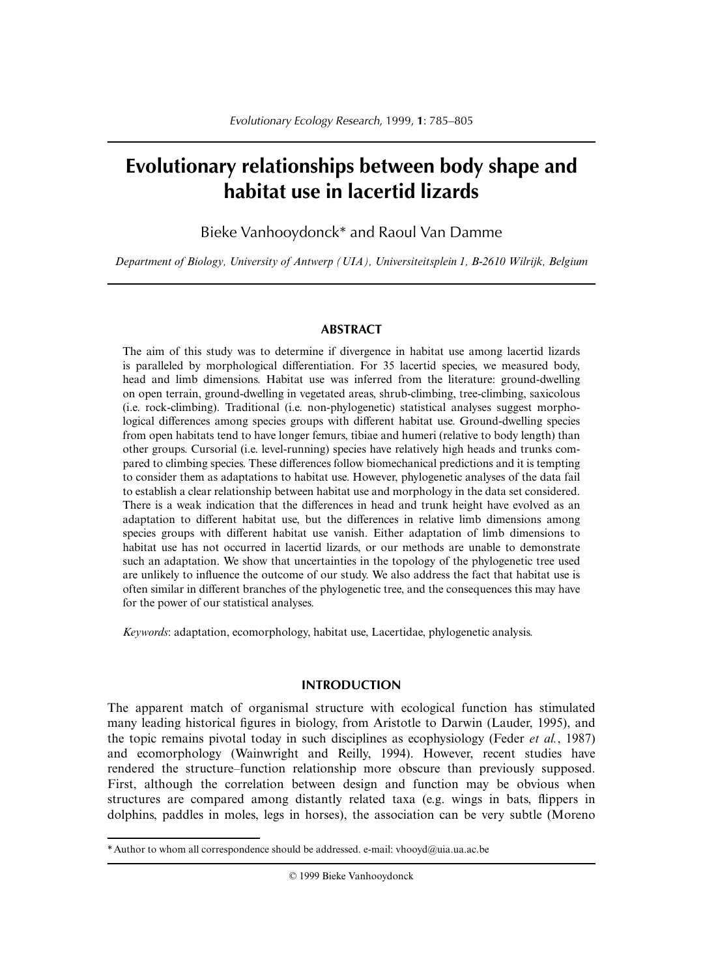# **Evolutionary relationships between body shape and habitat use in lacertid lizards**

Bieke Vanhooydonck\* and Raoul Van Damme

*Department of Biology, University of Antwerp (UIA), Universiteitsplein 1, B-2610 Wilrijk, Belgium*

#### **ABSTRACT**

The aim of this study was to determine if divergence in habitat use among lacertid lizards is paralleled by morphological differentiation. For 35 lacertid species, we measured body, head and limb dimensions. Habitat use was inferred from the literature: ground-dwelling on open terrain, ground-dwelling in vegetated areas, shrub-climbing, tree-climbing, saxicolous (i.e. rock-climbing). Traditional (i.e. non-phylogenetic) statistical analyses suggest morphological differences among species groups with different habitat use. Ground-dwelling species from open habitats tend to have longer femurs, tibiae and humeri (relative to body length) than other groups. Cursorial (i.e. level-running) species have relatively high heads and trunks compared to climbing species. These differences follow biomechanical predictions and it is tempting to consider them as adaptations to habitat use. However, phylogenetic analyses of the data fail to establish a clear relationship between habitat use and morphology in the data set considered. There is a weak indication that the differences in head and trunk height have evolved as an adaptation to different habitat use, but the differences in relative limb dimensions among species groups with different habitat use vanish. Either adaptation of limb dimensions to habitat use has not occurred in lacertid lizards, or our methods are unable to demonstrate such an adaptation. We show that uncertainties in the topology of the phylogenetic tree used are unlikely to influence the outcome of our study. We also address the fact that habitat use is often similar in different branches of the phylogenetic tree, and the consequences this may have for the power of our statistical analyses.

*Keywords*: adaptation, ecomorphology, habitat use, Lacertidae, phylogenetic analysis.

# **INTRODUCTION**

The apparent match of organismal structure with ecological function has stimulated many leading historical figures in biology, from Aristotle to Darwin (Lauder, 1995), and the topic remains pivotal today in such disciplines as ecophysiology (Feder *et al.*, 1987) and ecomorphology (Wainwright and Reilly, 1994). However, recent studies have rendered the structure–function relationship more obscure than previously supposed. First, although the correlation between design and function may be obvious when structures are compared among distantly related taxa (e.g. wings in bats, flippers in dolphins, paddles in moles, legs in horses), the association can be very subtle (Moreno

© 1999 Bieke Vanhooydonck

<sup>\*</sup> Author to whom all correspondence should be addressed. e-mail: vhooyd@uia.ua.ac.be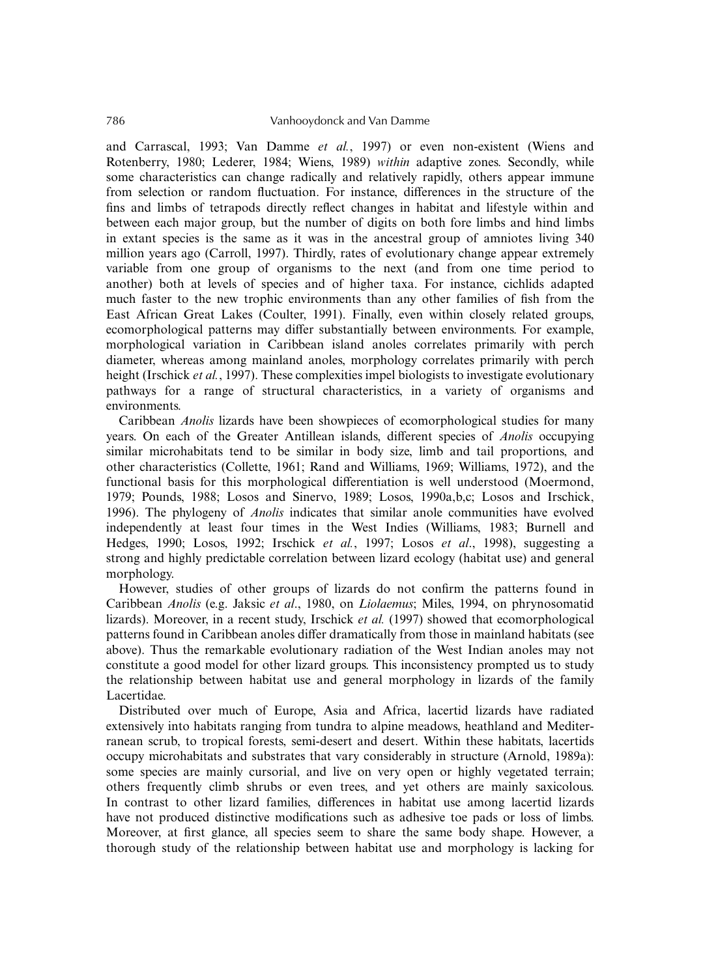and Carrascal, 1993; Van Damme *et al.*, 1997) or even non-existent (Wiens and Rotenberry, 1980; Lederer, 1984; Wiens, 1989) *within* adaptive zones. Secondly, while some characteristics can change radically and relatively rapidly, others appear immune from selection or random fluctuation. For instance, differences in the structure of the fins and limbs of tetrapods directly reflect changes in habitat and lifestyle within and between each major group, but the number of digits on both fore limbs and hind limbs in extant species is the same as it was in the ancestral group of amniotes living 340 million years ago (Carroll, 1997). Thirdly, rates of evolutionary change appear extremely variable from one group of organisms to the next (and from one time period to another) both at levels of species and of higher taxa. For instance, cichlids adapted much faster to the new trophic environments than any other families of fish from the East African Great Lakes (Coulter, 1991). Finally, even within closely related groups, ecomorphological patterns may differ substantially between environments. For example, morphological variation in Caribbean island anoles correlates primarily with perch diameter, whereas among mainland anoles, morphology correlates primarily with perch height (Irschick *et al.*, 1997). These complexities impel biologists to investigate evolutionary pathways for a range of structural characteristics, in a variety of organisms and environments.

Caribbean *Anolis* lizards have been showpieces of ecomorphological studies for many years. On each of the Greater Antillean islands, different species of *Anolis* occupying similar microhabitats tend to be similar in body size, limb and tail proportions, and other characteristics (Collette, 1961; Rand and Williams, 1969; Williams, 1972), and the functional basis for this morphological differentiation is well understood (Moermond, 1979; Pounds, 1988; Losos and Sinervo, 1989; Losos, 1990a,b,c; Losos and Irschick, 1996). The phylogeny of *Anolis* indicates that similar anole communities have evolved independently at least four times in the West Indies (Williams, 1983; Burnell and Hedges, 1990; Losos, 1992; Irschick *et al.*, 1997; Losos *et al*., 1998), suggesting a strong and highly predictable correlation between lizard ecology (habitat use) and general morphology.

However, studies of other groups of lizards do not confirm the patterns found in Caribbean *Anolis* (e.g. Jaksic *et al*., 1980, on *Liolaemus*; Miles, 1994, on phrynosomatid lizards). Moreover, in a recent study, Irschick *et al.* (1997) showed that ecomorphological patterns found in Caribbean anoles differ dramatically from those in mainland habitats (see above). Thus the remarkable evolutionary radiation of the West Indian anoles may not constitute a good model for other lizard groups. This inconsistency prompted us to study the relationship between habitat use and general morphology in lizards of the family Lacertidae.

Distributed over much of Europe, Asia and Africa, lacertid lizards have radiated extensively into habitats ranging from tundra to alpine meadows, heathland and Mediterranean scrub, to tropical forests, semi-desert and desert. Within these habitats, lacertids occupy microhabitats and substrates that vary considerably in structure (Arnold, 1989a): some species are mainly cursorial, and live on very open or highly vegetated terrain; others frequently climb shrubs or even trees, and yet others are mainly saxicolous. In contrast to other lizard families, differences in habitat use among lacertid lizards have not produced distinctive modifications such as adhesive toe pads or loss of limbs. Moreover, at first glance, all species seem to share the same body shape. However, a thorough study of the relationship between habitat use and morphology is lacking for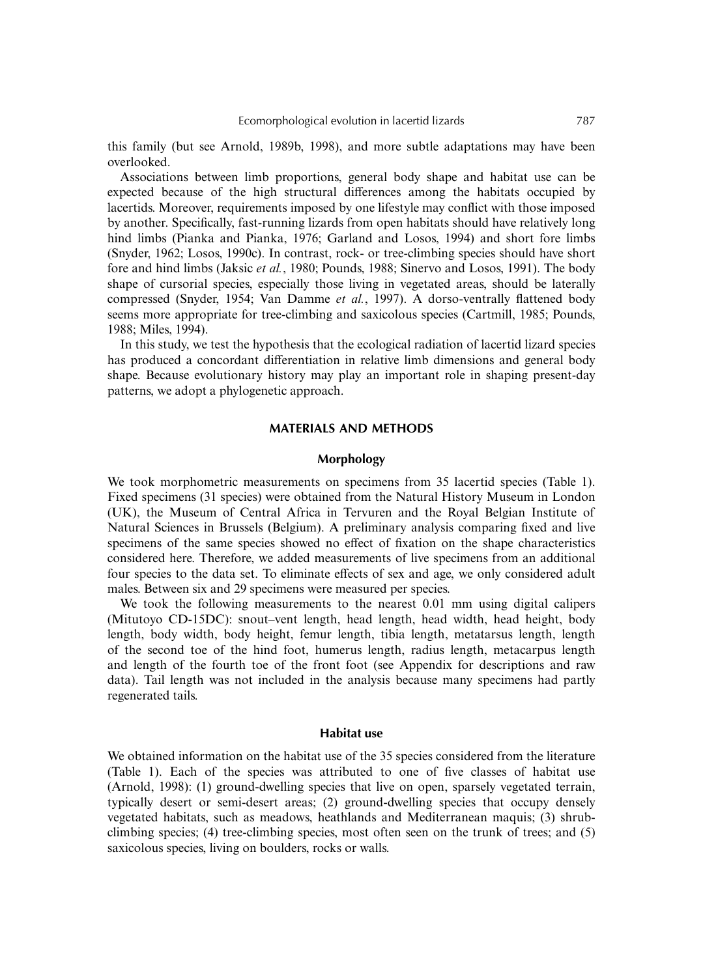this family (but see Arnold, 1989b, 1998), and more subtle adaptations may have been overlooked.

Associations between limb proportions, general body shape and habitat use can be expected because of the high structural differences among the habitats occupied by lacertids. Moreover, requirements imposed by one lifestyle may conflict with those imposed by another. Specifically, fast-running lizards from open habitats should have relatively long hind limbs (Pianka and Pianka, 1976; Garland and Losos, 1994) and short fore limbs (Snyder, 1962; Losos, 1990c). In contrast, rock- or tree-climbing species should have short fore and hind limbs (Jaksic *et al.*, 1980; Pounds, 1988; Sinervo and Losos, 1991). The body shape of cursorial species, especially those living in vegetated areas, should be laterally compressed (Snyder, 1954; Van Damme *et al.*, 1997). A dorso-ventrally flattened body seems more appropriate for tree-climbing and saxicolous species (Cartmill, 1985; Pounds, 1988; Miles, 1994).

In this study, we test the hypothesis that the ecological radiation of lacertid lizard species has produced a concordant differentiation in relative limb dimensions and general body shape. Because evolutionary history may play an important role in shaping present-day patterns, we adopt a phylogenetic approach.

### **MATERIALS AND METHODS**

#### **Morphology**

We took morphometric measurements on specimens from 35 lacertid species (Table 1). Fixed specimens (31 species) were obtained from the Natural History Museum in London (UK), the Museum of Central Africa in Tervuren and the Royal Belgian Institute of Natural Sciences in Brussels (Belgium). A preliminary analysis comparing fixed and live specimens of the same species showed no effect of fixation on the shape characteristics considered here. Therefore, we added measurements of live specimens from an additional four species to the data set. To eliminate effects of sex and age, we only considered adult males. Between six and 29 specimens were measured per species.

We took the following measurements to the nearest 0.01 mm using digital calipers (Mitutoyo CD-15DC): snout–vent length, head length, head width, head height, body length, body width, body height, femur length, tibia length, metatarsus length, length of the second toe of the hind foot, humerus length, radius length, metacarpus length and length of the fourth toe of the front foot (see Appendix for descriptions and raw data). Tail length was not included in the analysis because many specimens had partly regenerated tails.

#### **Habitat use**

We obtained information on the habitat use of the 35 species considered from the literature (Table 1). Each of the species was attributed to one of five classes of habitat use (Arnold, 1998): (1) ground-dwelling species that live on open, sparsely vegetated terrain, typically desert or semi-desert areas; (2) ground-dwelling species that occupy densely vegetated habitats, such as meadows, heathlands and Mediterranean maquis; (3) shrubclimbing species; (4) tree-climbing species, most often seen on the trunk of trees; and (5) saxicolous species, living on boulders, rocks or walls.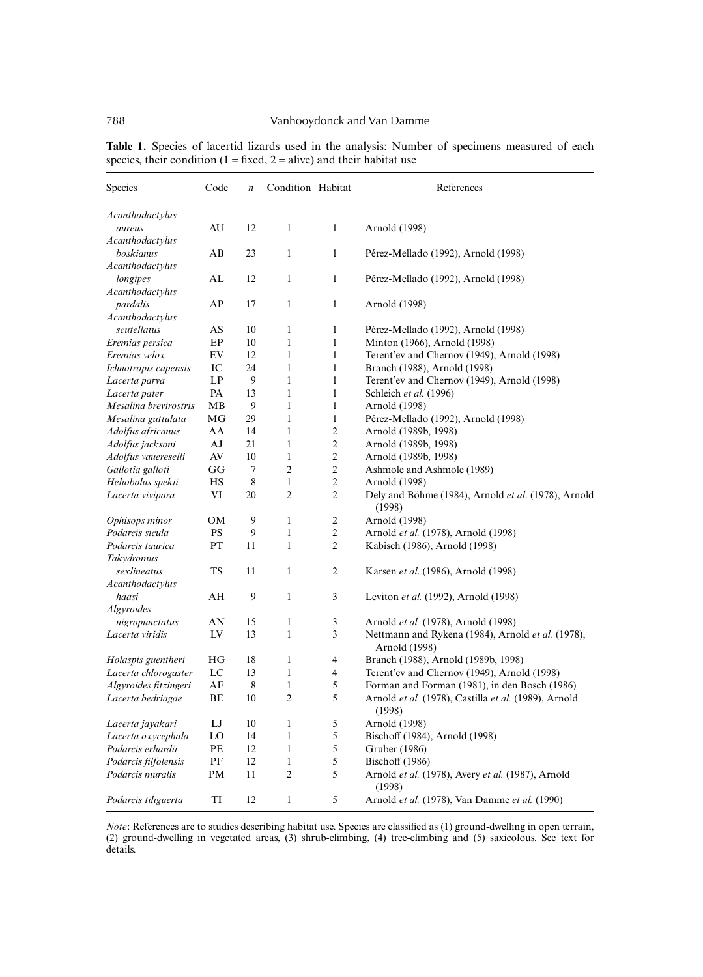| Species               | Code      | $\boldsymbol{n}$ | Condition Habitat |                | References                                                         |
|-----------------------|-----------|------------------|-------------------|----------------|--------------------------------------------------------------------|
| Acanthodactylus       |           |                  |                   |                |                                                                    |
| aureus                | AU        | 12               | 1                 | $\mathbf{1}$   | Arnold (1998)                                                      |
| Acanthodactylus       |           |                  |                   |                |                                                                    |
| boskianus             | AВ        | 23               | $\mathbf{1}$      | $\mathbf{1}$   | Pérez-Mellado (1992), Arnold (1998)                                |
| Acanthodactylus       |           |                  |                   |                |                                                                    |
| longipes              | AL        | 12               | $\mathbf{1}$      | $\mathbf{1}$   | Pérez-Mellado (1992), Arnold (1998)                                |
| Acanthodactylus       |           |                  |                   |                |                                                                    |
| pardalis              | AP        | 17               | $\mathbf{1}$      | 1              | Arnold (1998)                                                      |
| Acanthodactylus       |           |                  |                   |                |                                                                    |
| scutellatus           | AS        | 10               | $\mathbf{1}$      | 1              | Pérez-Mellado (1992), Arnold (1998)                                |
| Eremias persica       | EP        | 10               | $\mathbf{1}$      | $\mathbf{1}$   | Minton (1966), Arnold (1998)                                       |
| Eremias velox         | EV        | 12               | $\mathbf{1}$      | 1              | Terent'ev and Chernov (1949), Arnold (1998)                        |
| Ichnotropis capensis  | IC        | 24               | $\mathbf{1}$      | $\mathbf{1}$   | Branch (1988), Arnold (1998)                                       |
| Lacerta parva         | LP        | 9                | $\mathbf{1}$      | $\mathbf{1}$   | Terent'ev and Chernov (1949), Arnold (1998)                        |
| Lacerta pater         | PA        | 13               | $\mathbf{1}$      | $\mathbf{1}$   | Schleich et al. (1996)                                             |
| Mesalina brevirostris | MB        | 9                | $\mathbf{1}$      | $\mathbf{1}$   | Arnold (1998)                                                      |
| Mesalina guttulata    | МG        | 29               | $\mathbf{1}$      | $\mathbf{1}$   | Pérez-Mellado (1992), Arnold (1998)                                |
| Adolfus africanus     | AA        | 14               | $\mathbf{1}$      | $\overline{c}$ | Arnold (1989b, 1998)                                               |
| Adolfus jacksoni      | AJ        | 21               | $\mathbf{1}$      | $\sqrt{2}$     | Arnold (1989b, 1998)                                               |
| Adolfus vauereselli   | AV        | 10               | $\mathbf{1}$      | $\overline{c}$ | Arnold (1989b, 1998)                                               |
| Gallotia galloti      | GG        | $\tau$           | $\overline{2}$    | $\mathfrak{2}$ | Ashmole and Ashmole (1989)                                         |
| Heliobolus spekii     | HS        | 8                | $\mathbf{1}$      | $\sqrt{2}$     | Arnold (1998)                                                      |
| Lacerta vivipara      | VI        | 20               | 2                 | $\mathfrak{2}$ | Dely and Böhme (1984), Arnold et al. (1978), Arnold<br>(1998)      |
| Ophisops minor        | <b>OM</b> | 9                | $\mathbf{1}$      | $\overline{c}$ | Arnold (1998)                                                      |
| Podarcis sicula       | PS        | 9                | $\mathbf{1}$      | $\sqrt{2}$     | Arnold et al. (1978), Arnold (1998)                                |
| Podarcis taurica      | PT        | 11               | $\mathbf{1}$      | $\mathfrak{2}$ | Kabisch (1986), Arnold (1998)                                      |
| Takydromus            |           |                  |                   |                |                                                                    |
| sexlineatus           | <b>TS</b> | 11               | $\mathbf{1}$      | $\overline{2}$ | Karsen et al. (1986), Arnold (1998)                                |
| Acanthodactylus       |           |                  |                   |                |                                                                    |
| haasi                 | AH        | 9                | $\mathbf{1}$      | 3              | Leviton et al. (1992), Arnold (1998)                               |
| <i>Algyroides</i>     |           |                  |                   |                |                                                                    |
| nigropunctatus        | AN        | 15               | $\mathbf{1}$      | 3              | Arnold et al. (1978), Arnold (1998)                                |
| Lacerta viridis       | LV        | 13               | $\mathbf{1}$      | 3              | Nettmann and Rykena (1984), Arnold et al. (1978),<br>Arnold (1998) |
| Holaspis guentheri    | HG        | 18               | $\mathbf{1}$      | $\overline{4}$ | Branch (1988), Arnold (1989b, 1998)                                |
| Lacerta chlorogaster  | LC        | 13               | $\mathbf{1}$      | 4              | Terent'ev and Chernov (1949), Arnold (1998)                        |
| Algyroides fitzingeri | AF        | 8                | $\mathbf{1}$      | 5              | Forman and Forman (1981), in den Bosch (1986)                      |
| Lacerta bedriagae     | BE        | 10               | $\overline{c}$    | 5              | Arnold et al. (1978), Castilla et al. (1989), Arnold<br>(1998)     |
| Lacerta jayakari      | LJ        | 10               | $\mathbf{1}$      | 5              | Arnold (1998)                                                      |
| Lacerta oxycephala    | LO        | 14               | $\mathbf{1}$      | 5              | Bischoff (1984), Arnold (1998)                                     |
| Podarcis erhardii     | PE        | 12               | $\mathbf{1}$      | 5              | Gruber (1986)                                                      |
| Podarcis filfolensis  | PF        | 12               | $\mathbf{1}$      | 5              | <b>Bischoff</b> (1986)                                             |
| Podarcis muralis      | PM        | 11               | 2                 | 5              | Arnold et al. (1978), Avery et al. (1987), Arnold<br>(1998)        |
| Podarcis tiliguerta   | TI        | 12               | $\mathbf{1}$      | 5              | Arnold et al. (1978), Van Damme et al. (1990)                      |

Table 1. Species of lacertid lizards used in the analysis: Number of specimens measured of each species, their condition ( $1 = fixed$ ,  $2 = alive$ ) and their habitat use

*Note*: References are to studies describing habitat use. Species are classified as (1) ground-dwelling in open terrain, (2) ground-dwelling in vegetated areas, (3) shrub-climbing, (4) tree-climbing and (5) saxicolous. See text for details.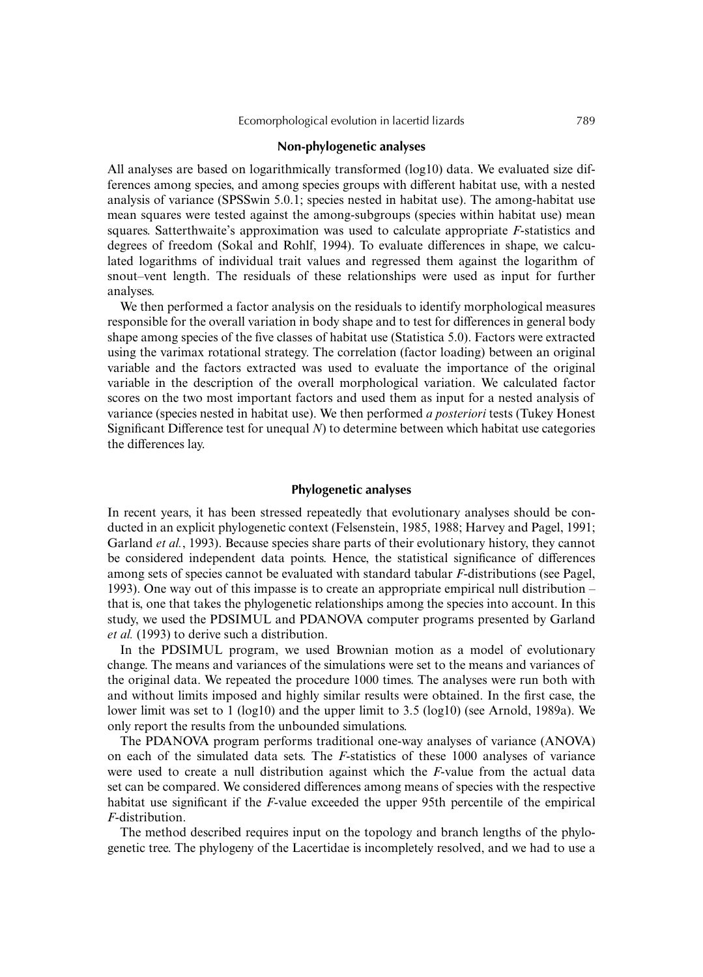#### **Non-phylogenetic analyses**

All analyses are based on logarithmically transformed (log10) data. We evaluated size differences among species, and among species groups with different habitat use, with a nested analysis of variance (SPSSwin 5.0.1; species nested in habitat use). The among-habitat use mean squares were tested against the among-subgroups (species within habitat use) mean squares. Satterthwaite's approximation was used to calculate appropriate *F*-statistics and degrees of freedom (Sokal and Rohlf, 1994). To evaluate differences in shape, we calculated logarithms of individual trait values and regressed them against the logarithm of snout–vent length. The residuals of these relationships were used as input for further analyses.

We then performed a factor analysis on the residuals to identify morphological measures responsible for the overall variation in body shape and to test for differences in general body shape among species of the five classes of habitat use (Statistica 5.0). Factors were extracted using the varimax rotational strategy. The correlation (factor loading) between an original variable and the factors extracted was used to evaluate the importance of the original variable in the description of the overall morphological variation. We calculated factor scores on the two most important factors and used them as input for a nested analysis of variance (species nested in habitat use). We then performed *a posteriori* tests (Tukey Honest Significant Difference test for unequal *N*) to determine between which habitat use categories the differences lay.

## **Phylogenetic analyses**

In recent years, it has been stressed repeatedly that evolutionary analyses should be conducted in an explicit phylogenetic context (Felsenstein, 1985, 1988; Harvey and Pagel, 1991; Garland *et al.*, 1993). Because species share parts of their evolutionary history, they cannot be considered independent data points. Hence, the statistical significance of differences among sets of species cannot be evaluated with standard tabular *F*-distributions (see Pagel, 1993). One way out of this impasse is to create an appropriate empirical null distribution – that is, one that takes the phylogenetic relationships among the species into account. In this study, we used the PDSIMUL and PDANOVA computer programs presented by Garland *et al.* (1993) to derive such a distribution.

In the PDSIMUL program, we used Brownian motion as a model of evolutionary change. The means and variances of the simulations were set to the means and variances of the original data. We repeated the procedure 1000 times. The analyses were run both with and without limits imposed and highly similar results were obtained. In the first case, the lower limit was set to 1 (log10) and the upper limit to 3.5 (log10) (see Arnold, 1989a). We only report the results from the unbounded simulations.

The PDANOVA program performs traditional one-way analyses of variance (ANOVA) on each of the simulated data sets. The *F*-statistics of these 1000 analyses of variance were used to create a null distribution against which the *F*-value from the actual data set can be compared. We considered differences among means of species with the respective habitat use significant if the *F*-value exceeded the upper 95th percentile of the empirical *F*-distribution.

The method described requires input on the topology and branch lengths of the phylogenetic tree. The phylogeny of the Lacertidae is incompletely resolved, and we had to use a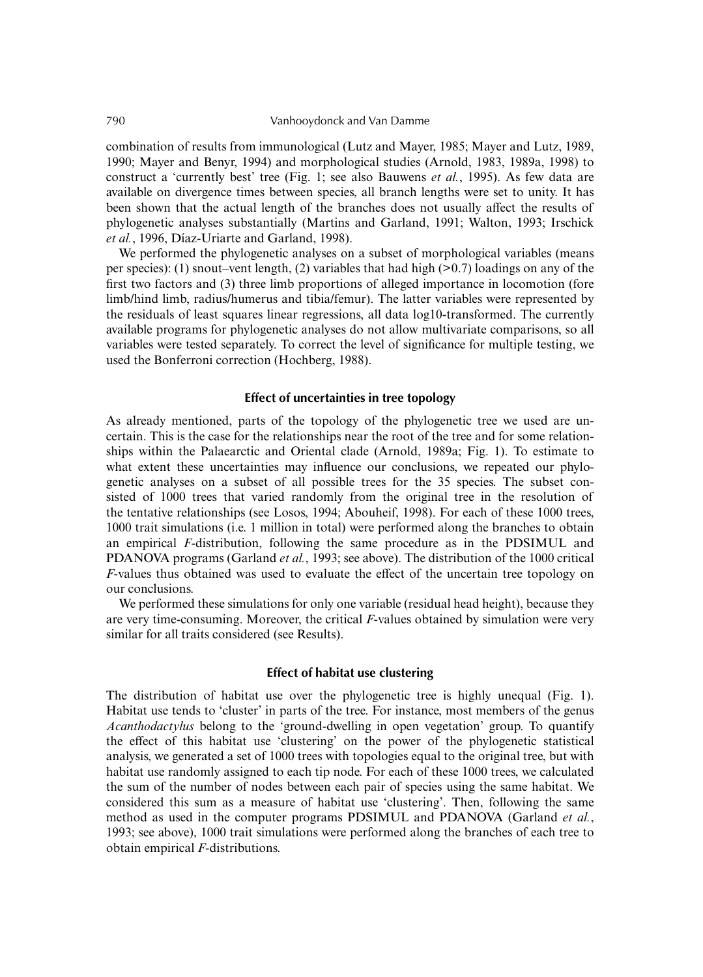combination of results from immunological (Lutz and Mayer, 1985; Mayer and Lutz, 1989, 1990; Mayer and Benyr, 1994) and morphological studies (Arnold, 1983, 1989a, 1998) to construct a 'currently best' tree (Fig. 1; see also Bauwens *et al.*, 1995). As few data are available on divergence times between species, all branch lengths were set to unity. It has been shown that the actual length of the branches does not usually affect the results of phylogenetic analyses substantially (Martins and Garland, 1991; Walton, 1993; Irschick *et al.*, 1996, Díaz-Uriarte and Garland, 1998).

We performed the phylogenetic analyses on a subset of morphological variables (means per species): (1) snout–vent length, (2) variables that had high  $(0.7)$  loadings on any of the first two factors and (3) three limb proportions of alleged importance in locomotion (fore limb/hind limb, radius/humerus and tibia/femur). The latter variables were represented by the residuals of least squares linear regressions, all data log10-transformed. The currently available programs for phylogenetic analyses do not allow multivariate comparisons, so all variables were tested separately. To correct the level of significance for multiple testing, we used the Bonferroni correction (Hochberg, 1988).

## **Effect of uncertainties in tree topology**

As already mentioned, parts of the topology of the phylogenetic tree we used are uncertain. This is the case for the relationships near the root of the tree and for some relationships within the Palaearctic and Oriental clade (Arnold, 1989a; Fig. 1). To estimate to what extent these uncertainties may influence our conclusions, we repeated our phylogenetic analyses on a subset of all possible trees for the 35 species. The subset consisted of 1000 trees that varied randomly from the original tree in the resolution of the tentative relationships (see Losos, 1994; Abouheif, 1998). For each of these 1000 trees, 1000 trait simulations (i.e. 1 million in total) were performed along the branches to obtain an empirical *F*-distribution, following the same procedure as in the PDSIMUL and PDANOVA programs (Garland *et al.*, 1993; see above). The distribution of the 1000 critical *F*-values thus obtained was used to evaluate the effect of the uncertain tree topology on our conclusions.

We performed these simulations for only one variable (residual head height), because they are very time-consuming. Moreover, the critical *F*-values obtained by simulation were very similar for all traits considered (see Results).

#### **Effect of habitat use clustering**

The distribution of habitat use over the phylogenetic tree is highly unequal (Fig. 1). Habitat use tends to 'cluster' in parts of the tree. For instance, most members of the genus *Acanthodactylus* belong to the 'ground-dwelling in open vegetation' group. To quantify the effect of this habitat use 'clustering' on the power of the phylogenetic statistical analysis, we generated a set of 1000 trees with topologies equal to the original tree, but with habitat use randomly assigned to each tip node. For each of these 1000 trees, we calculated the sum of the number of nodes between each pair of species using the same habitat. We considered this sum as a measure of habitat use 'clustering'. Then, following the same method as used in the computer programs PDSIMUL and PDANOVA (Garland *et al.*, 1993; see above), 1000 trait simulations were performed along the branches of each tree to obtain empirical *F*-distributions.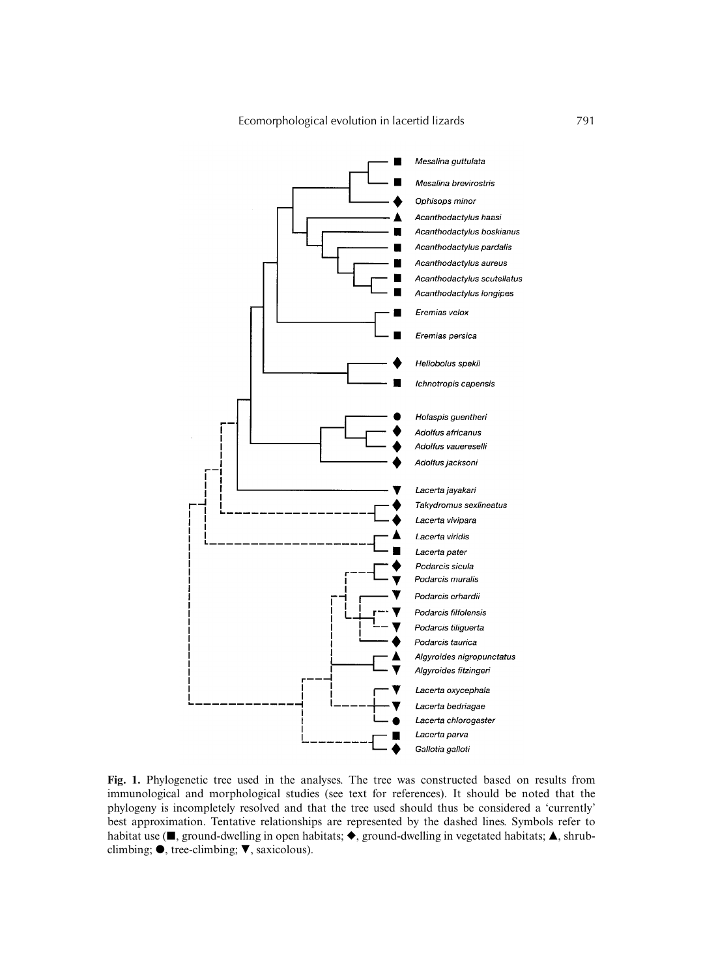

**Fig. 1.** Phylogenetic tree used in the analyses. The tree was constructed based on results from immunological and morphological studies (see text for references). It should be noted that the phylogeny is incompletely resolved and that the tree used should thus be considered a 'currently' best approximation. Tentative relationships are represented by the dashed lines. Symbols refer to habitat use ( $\blacksquare$ , ground-dwelling in open habitats;  $\blacklozenge$ , ground-dwelling in vegetated habitats;  $\blacktriangle$ , shrubclimbing;  $\bullet$ , tree-climbing;  $\nabla$ , saxicolous).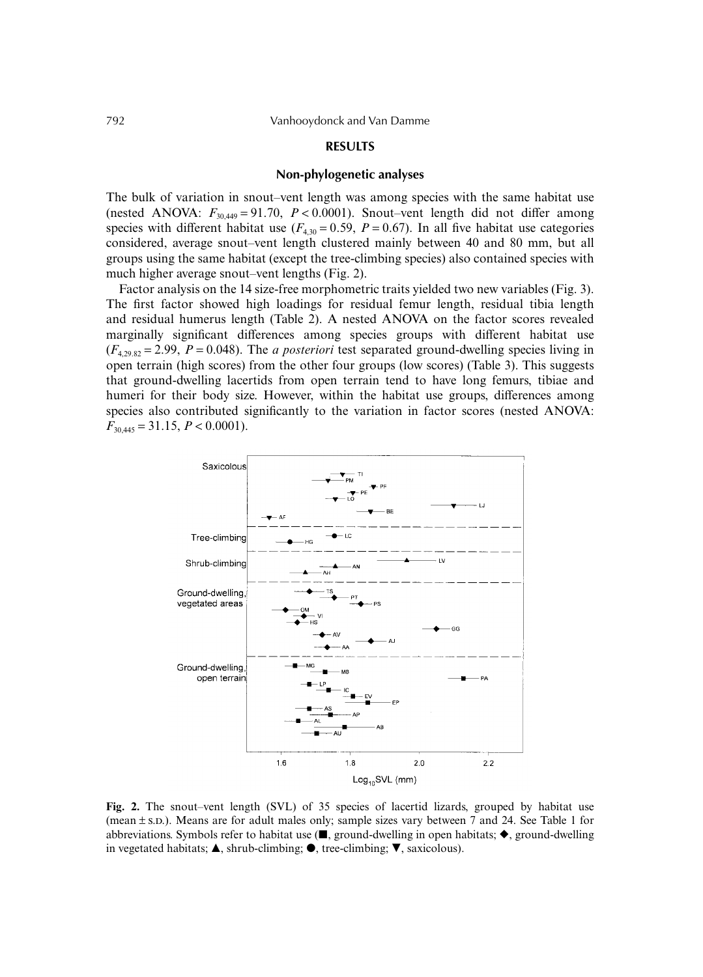# **RESULTS**

#### **Non-phylogenetic analyses**

The bulk of variation in snout–vent length was among species with the same habitat use (nested ANOVA:  $F_{30,449} = 91.70$ ,  $P < 0.0001$ ). Snout–vent length did not differ among species with different habitat use  $(F_{4,30} = 0.59, P = 0.67)$ . In all five habitat use categories considered, average snout–vent length clustered mainly between 40 and 80 mm, but all groups using the same habitat (except the tree-climbing species) also contained species with much higher average snout–vent lengths (Fig. 2).

Factor analysis on the 14 size-free morphometric traits yielded two new variables (Fig. 3). The first factor showed high loadings for residual femur length, residual tibia length and residual humerus length (Table 2). A nested ANOVA on the factor scores revealed marginally significant differences among species groups with different habitat use  $(F_{4,29.82} = 2.99, P = 0.048)$ . The *a posteriori* test separated ground-dwelling species living in open terrain (high scores) from the other four groups (low scores) (Table 3). This suggests that ground-dwelling lacertids from open terrain tend to have long femurs, tibiae and humeri for their body size. However, within the habitat use groups, differences among species also contributed significantly to the variation in factor scores (nested ANOVA:  $F_{30,445} = 31.15, P < 0.0001$ .



**Fig. 2.** The snout–vent length (SVL) of 35 species of lacertid lizards, grouped by habitat use (mean  $\pm$  s.D.). Means are for adult males only; sample sizes vary between 7 and 24. See Table 1 for abbreviations. Symbols refer to habitat use ( $\blacksquare$ , ground-dwelling in open habitats;  $\blacklozenge$ , ground-dwelling in vegetated habitats;  $\blacktriangle$ , shrub-climbing;  $\blacktriangledown$ , tree-climbing;  $\nabla$ , saxicolous).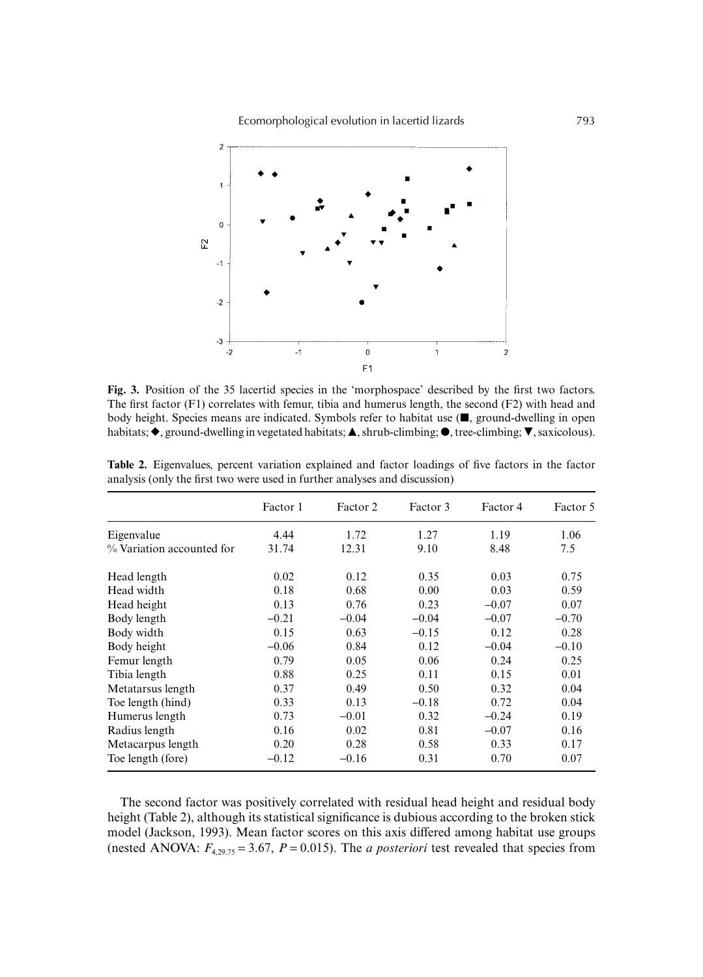

**Fig. 3.** Position of the 35 lacertid species in the 'morphospace' described by the first two factors. The first factor (F1) correlates with femur, tibia and humerus length, the second (F2) with head and body height. Species means are indicated. Symbols refer to habitat use  $(\blacksquare,$  ground-dwelling in open habitats;  $\blacklozenge$ , ground-dwelling in vegetated habitats;  $\blacktriangle$ , shrub-climbing;  $\blacktriangledown$ , tree-climbing;  $\nabla$ , saxicolous).

|                           | Factor 1 | Factor 2 | Factor 3 | Factor 4 | Factor 5 |
|---------------------------|----------|----------|----------|----------|----------|
| Eigenvalue                | 4.44     | 1.72     | 1.27     | 1.19     | 1.06     |
| % Variation accounted for | 31.74    | 12.31    | 9.10     | 8.48     | 7.5      |
| Head length               | 0.02     | 0.12     | 0.35     | 0.03     | 0.75     |
| Head width                | 0.18     | 0.68     | 0.00     | 0.03     | 0.59     |
| Head height               | 0.13     | 0.76     | 0.23     | $-0.07$  | 0.07     |
| Body length               | $-0.21$  | $-0.04$  | $-0.04$  | $-0.07$  | $-0.70$  |
| Body width                | 0.15     | 0.63     | $-0.15$  | 0.12     | 0.28     |
| Body height               | $-0.06$  | 0.84     | 0.12     | $-0.04$  | $-0.10$  |
| Femur length              | 0.79     | 0.05     | 0.06     | 0.24     | 0.25     |
| Tibia length              | 0.88     | 0.25     | 0.11     | 0.15     | 0.01     |
| Metatarsus length         | 0.37     | 0.49     | 0.50     | 0.32     | 0.04     |
| Toe length (hind)         | 0.33     | 0.13     | $-0.18$  | 0.72     | 0.04     |
| Humerus length            | 0.73     | $-0.01$  | 0.32     | $-0.24$  | 0.19     |
| Radius length             | 0.16     | 0.02     | 0.81     | $-0.07$  | 0.16     |
| Metacarpus length         | 0.20     | 0.28     | 0.58     | 0.33     | 0.17     |
| Toe length (fore)         | $-0.12$  | $-0.16$  | 0.31     | 0.70     | 0.07     |

**Table 2.** Eigenvalues, percent variation explained and factor loadings of five factors in the factor analysis (only the first two were used in further analyses and discussion)

The second factor was positively correlated with residual head height and residual body height (Table 2), although its statistical significance is dubious according to the broken stick model (Jackson, 1993). Mean factor scores on this axis differed among habitat use groups (nested ANOVA:  $F_{4,29.75} = 3.67$ ,  $P = 0.015$ ). The *a posteriori* test revealed that species from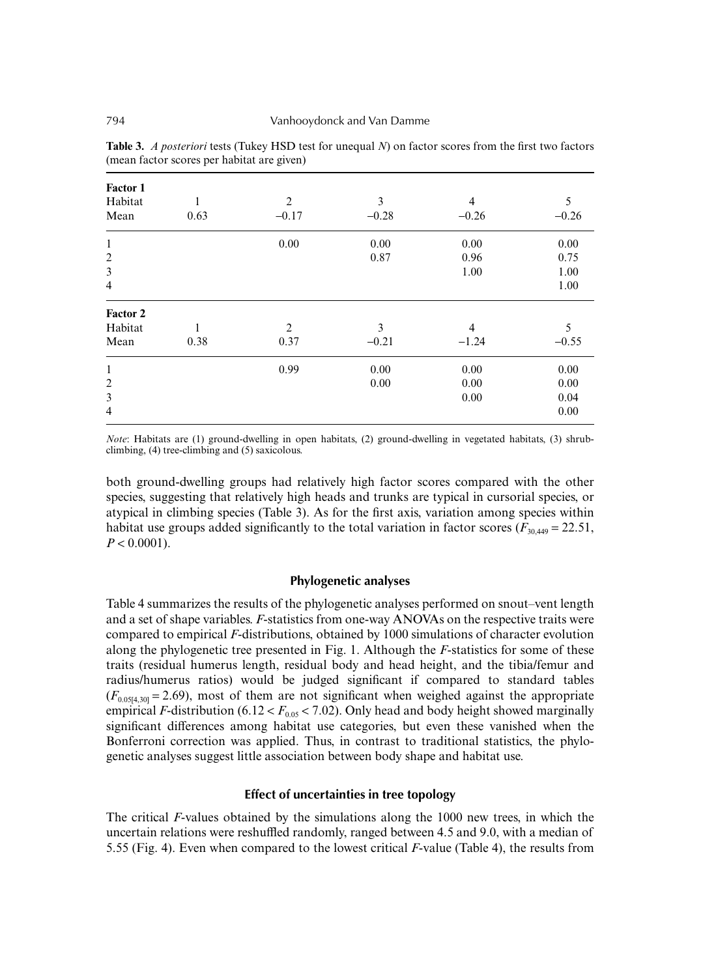| Factor 1<br>Habitat<br>Mean | 0.63 | $\overline{2}$<br>$-0.17$ | 3<br>$-0.28$ | 4<br>$-0.26$ | 5<br>$-0.26$ |
|-----------------------------|------|---------------------------|--------------|--------------|--------------|
| $\mathbf{1}$                |      | 0.00                      | 0.00         | 0.00         | 0.00         |
| $\overline{2}$              |      |                           | 0.87         | 0.96         | 0.75         |
| $\mathfrak{Z}$              |      |                           |              | 1.00         | 1.00         |
| $\overline{4}$              |      |                           |              |              | 1.00         |
| Factor 2                    |      |                           |              |              |              |
| Habitat                     | 1    | $\overline{2}$            | 3            | 4            | 5            |
| Mean                        | 0.38 | 0.37                      | $-0.21$      | $-1.24$      | $-0.55$      |
| $\mathbf{1}$                |      | 0.99                      | 0.00         | 0.00         | 0.00         |
| $\overline{2}$              |      |                           | 0.00         | 0.00         | 0.00         |
| 3                           |      |                           |              | $0.00\,$     | 0.04         |
| $\overline{4}$              |      |                           |              |              | 0.00         |

**Table 3.** *A posteriori* tests (Tukey HSD test for unequal *N*) on factor scores from the first two factors (mean factor scores per habitat are given)

*Note*: Habitats are (1) ground-dwelling in open habitats, (2) ground-dwelling in vegetated habitats, (3) shrubclimbing, (4) tree-climbing and (5) saxicolous.

both ground-dwelling groups had relatively high factor scores compared with the other species, suggesting that relatively high heads and trunks are typical in cursorial species, or atypical in climbing species (Table 3). As for the first axis, variation among species within habitat use groups added significantly to the total variation in factor scores ( $F_{30,449} = 22.51$ ,  $P < 0.0001$ ).

# **Phylogenetic analyses**

Table 4 summarizes the results of the phylogenetic analyses performed on snout–vent length and a set of shape variables. *F*-statistics from one-way ANOVAs on the respective traits were compared to empirical *F*-distributions, obtained by 1000 simulations of character evolution along the phylogenetic tree presented in Fig. 1. Although the *F*-statistics for some of these traits (residual humerus length, residual body and head height, and the tibia/femur and radius/humerus ratios) would be judged significant if compared to standard tables  $(F<sub>0.0514,30]</sub> = 2.69)$ , most of them are not significant when weighed against the appropriate empirical *F*-distribution (6.12 <  $F_{0.05}$  < 7.02). Only head and body height showed marginally significant differences among habitat use categories, but even these vanished when the Bonferroni correction was applied. Thus, in contrast to traditional statistics, the phylogenetic analyses suggest little association between body shape and habitat use.

# **Effect of uncertainties in tree topology**

The critical *F*-values obtained by the simulations along the 1000 new trees, in which the uncertain relations were reshuffled randomly, ranged between 4.5 and 9.0, with a median of 5.55 (Fig. 4). Even when compared to the lowest critical *F*-value (Table 4), the results from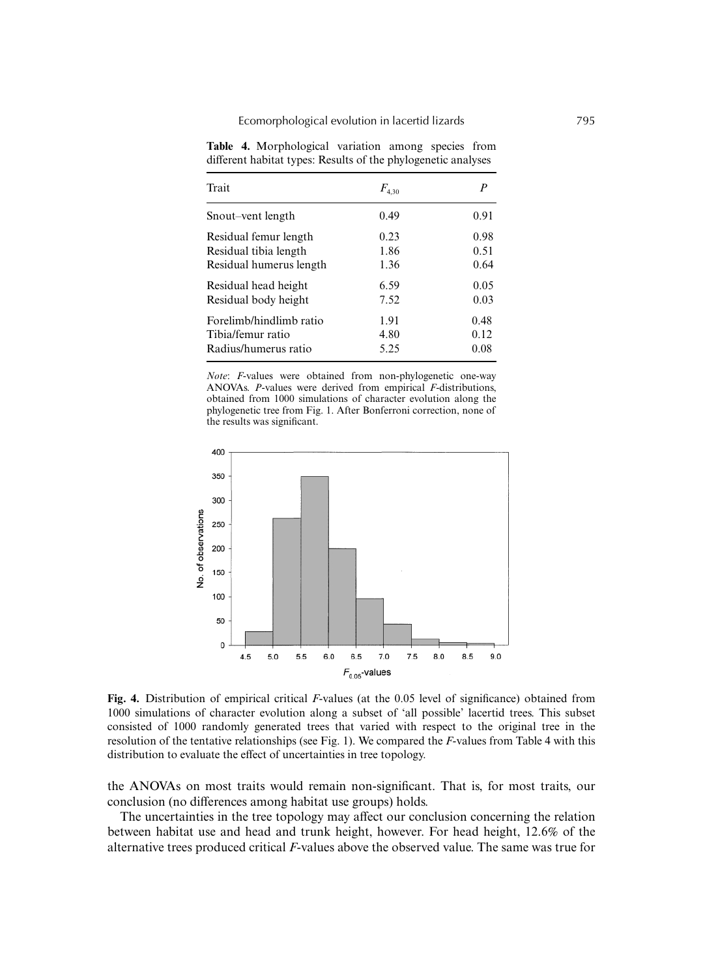**Table 4.** Morphological variation among species from different habitat types: Results of the phylogenetic analyses

| Trait                   | $F_{4,30}$ | P    |
|-------------------------|------------|------|
| Snout-vent length       | 0.49       | 0.91 |
| Residual femur length   | 0.23       | 0.98 |
| Residual tibia length   | 1.86       | 0.51 |
| Residual humerus length | 1.36       | 0.64 |
| Residual head height    | 6.59       | 0.05 |
| Residual body height    | 7.52       | 0.03 |
| Forelimb/hindlimb ratio | 1.91       | 0.48 |
| Tibia/femur ratio       | 4.80       | 0.12 |
| Radius/humerus ratio    | 5.25       | 0.08 |

*Note*: *F*-values were obtained from non-phylogenetic one-way ANOVAs. *P*-values were derived from empirical *F*-distributions, obtained from 1000 simulations of character evolution along the phylogenetic tree from Fig. 1. After Bonferroni correction, none of the results was significant.



**Fig. 4.** Distribution of empirical critical *F*-values (at the 0.05 level of significance) obtained from 1000 simulations of character evolution along a subset of 'all possible' lacertid trees. This subset consisted of 1000 randomly generated trees that varied with respect to the original tree in the resolution of the tentative relationships (see Fig. 1). We compared the *F*-values from Table 4 with this distribution to evaluate the effect of uncertainties in tree topology.

the ANOVAs on most traits would remain non-significant. That is, for most traits, our conclusion (no differences among habitat use groups) holds.

The uncertainties in the tree topology may affect our conclusion concerning the relation between habitat use and head and trunk height, however. For head height, 12.6% of the alternative trees produced critical *F*-values above the observed value. The same was true for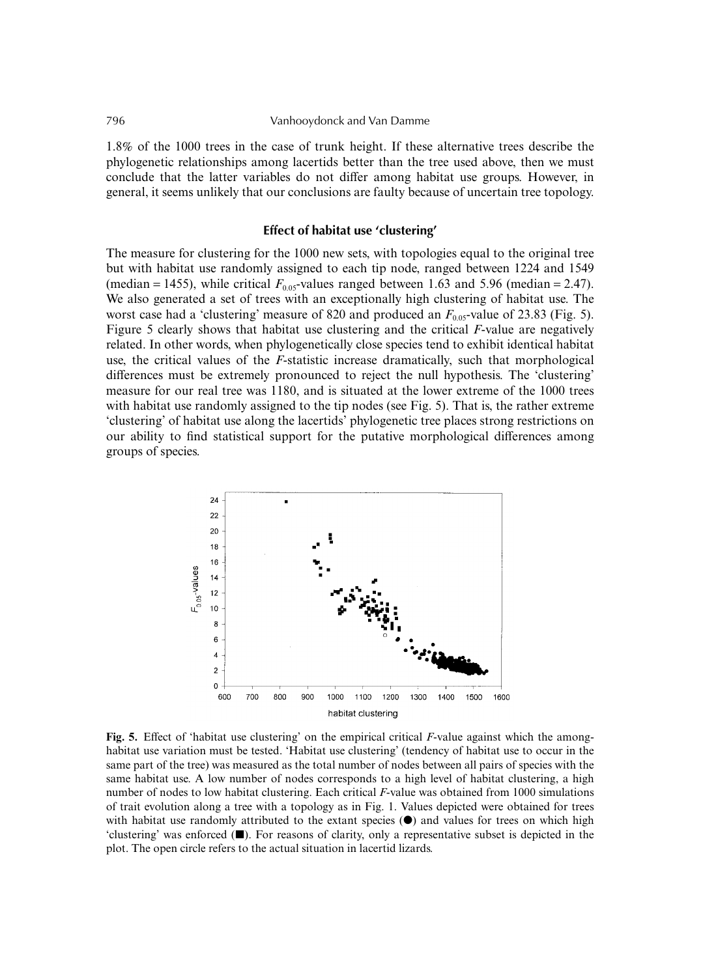1.8% of the 1000 trees in the case of trunk height. If these alternative trees describe the phylogenetic relationships among lacertids better than the tree used above, then we must conclude that the latter variables do not differ among habitat use groups. However, in general, it seems unlikely that our conclusions are faulty because of uncertain tree topology.

## **Effect of habitat use 'clustering'**

The measure for clustering for the 1000 new sets, with topologies equal to the original tree but with habitat use randomly assigned to each tip node, ranged between 1224 and 1549 (median = 1455), while critical  $F_{0.05}$ -values ranged between 1.63 and 5.96 (median = 2.47). We also generated a set of trees with an exceptionally high clustering of habitat use. The worst case had a 'clustering' measure of 820 and produced an  $F_{0.05}$ -value of 23.83 (Fig. 5). Figure 5 clearly shows that habitat use clustering and the critical *F*-value are negatively related. In other words, when phylogenetically close species tend to exhibit identical habitat use, the critical values of the *F*-statistic increase dramatically, such that morphological differences must be extremely pronounced to reject the null hypothesis. The 'clustering' measure for our real tree was 1180, and is situated at the lower extreme of the 1000 trees with habitat use randomly assigned to the tip nodes (see Fig. 5). That is, the rather extreme 'clustering' of habitat use along the lacertids' phylogenetic tree places strong restrictions on our ability to find statistical support for the putative morphological differences among groups of species.



**Fig. 5.** Effect of 'habitat use clustering' on the empirical critical *F*-value against which the amonghabitat use variation must be tested. 'Habitat use clustering' (tendency of habitat use to occur in the same part of the tree) was measured as the total number of nodes between all pairs of species with the same habitat use. A low number of nodes corresponds to a high level of habitat clustering, a high number of nodes to low habitat clustering. Each critical *F*-value was obtained from 1000 simulations of trait evolution along a tree with a topology as in Fig. 1. Values depicted were obtained for trees with habitat use randomly attributed to the extant species  $(\bullet)$  and values for trees on which high 'clustering' was enforced ( $\blacksquare$ ). For reasons of clarity, only a representative subset is depicted in the plot. The open circle refers to the actual situation in lacertid lizards.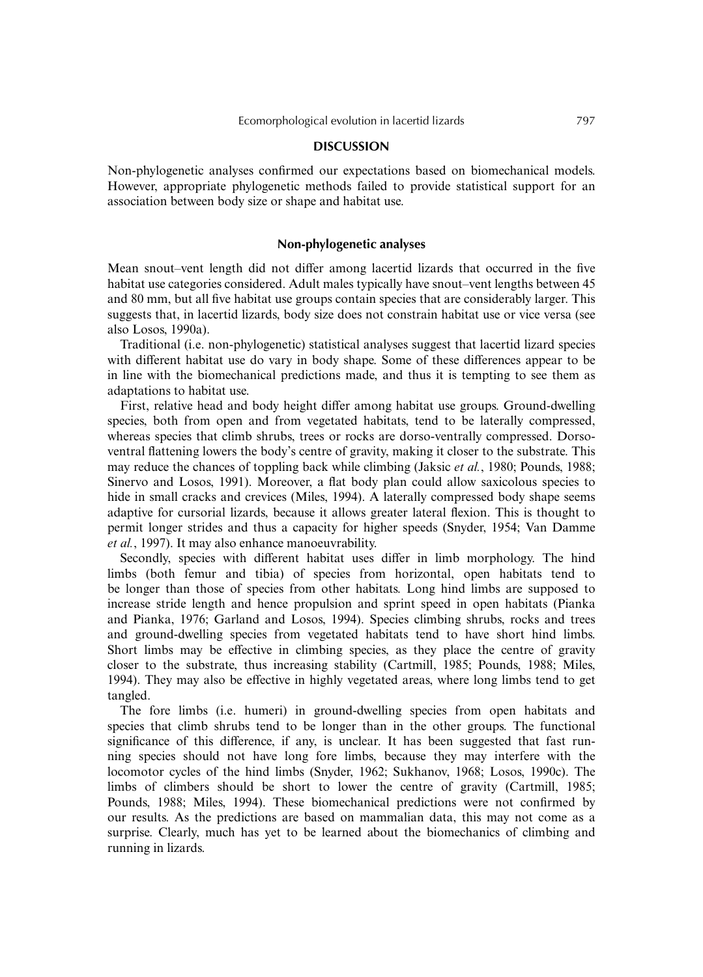#### **DISCUSSION**

Non-phylogenetic analyses confirmed our expectations based on biomechanical models. However, appropriate phylogenetic methods failed to provide statistical support for an association between body size or shape and habitat use.

## **Non-phylogenetic analyses**

Mean snout–vent length did not differ among lacertid lizards that occurred in the five habitat use categories considered. Adult males typically have snout–vent lengths between 45 and 80 mm, but all five habitat use groups contain species that are considerably larger. This suggests that, in lacertid lizards, body size does not constrain habitat use or vice versa (see also Losos, 1990a).

Traditional (i.e. non-phylogenetic) statistical analyses suggest that lacertid lizard species with different habitat use do vary in body shape. Some of these differences appear to be in line with the biomechanical predictions made, and thus it is tempting to see them as adaptations to habitat use.

First, relative head and body height differ among habitat use groups. Ground-dwelling species, both from open and from vegetated habitats, tend to be laterally compressed, whereas species that climb shrubs, trees or rocks are dorso-ventrally compressed. Dorsoventral flattening lowers the body's centre of gravity, making it closer to the substrate. This may reduce the chances of toppling back while climbing (Jaksic *et al.*, 1980; Pounds, 1988; Sinervo and Losos, 1991). Moreover, a flat body plan could allow saxicolous species to hide in small cracks and crevices (Miles, 1994). A laterally compressed body shape seems adaptive for cursorial lizards, because it allows greater lateral flexion. This is thought to permit longer strides and thus a capacity for higher speeds (Snyder, 1954; Van Damme *et al.*, 1997). It may also enhance manoeuvrability.

Secondly, species with different habitat uses differ in limb morphology. The hind limbs (both femur and tibia) of species from horizontal, open habitats tend to be longer than those of species from other habitats. Long hind limbs are supposed to increase stride length and hence propulsion and sprint speed in open habitats (Pianka and Pianka, 1976; Garland and Losos, 1994). Species climbing shrubs, rocks and trees and ground-dwelling species from vegetated habitats tend to have short hind limbs. Short limbs may be effective in climbing species, as they place the centre of gravity closer to the substrate, thus increasing stability (Cartmill, 1985; Pounds, 1988; Miles, 1994). They may also be effective in highly vegetated areas, where long limbs tend to get tangled.

The fore limbs (i.e. humeri) in ground-dwelling species from open habitats and species that climb shrubs tend to be longer than in the other groups. The functional significance of this difference, if any, is unclear. It has been suggested that fast running species should not have long fore limbs, because they may interfere with the locomotor cycles of the hind limbs (Snyder, 1962; Sukhanov, 1968; Losos, 1990c). The limbs of climbers should be short to lower the centre of gravity (Cartmill, 1985; Pounds, 1988; Miles, 1994). These biomechanical predictions were not confirmed by our results. As the predictions are based on mammalian data, this may not come as a surprise. Clearly, much has yet to be learned about the biomechanics of climbing and running in lizards.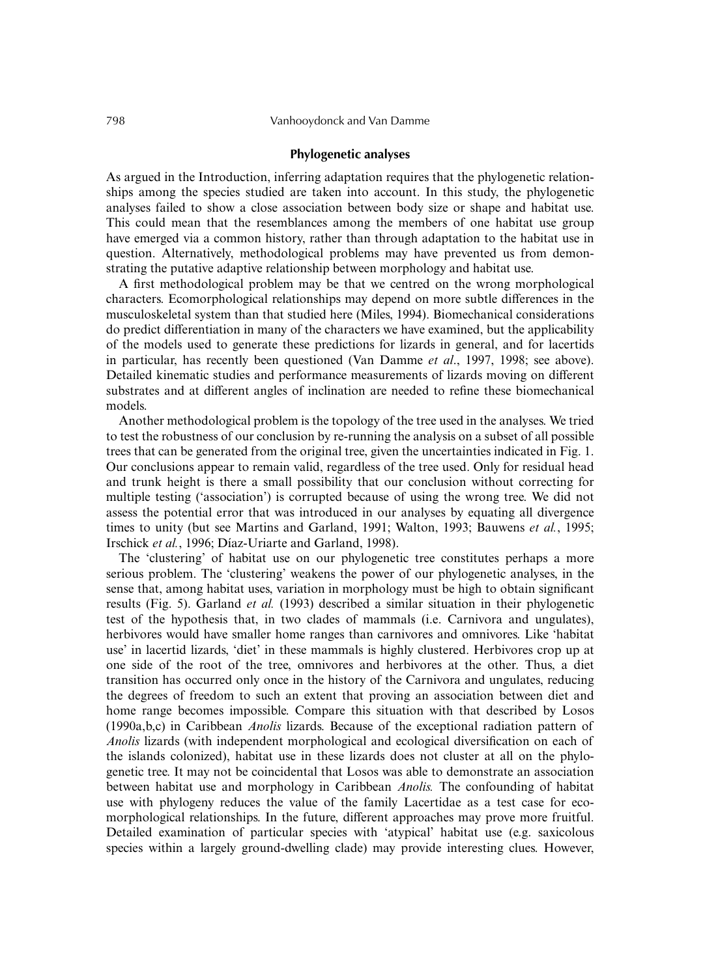## **Phylogenetic analyses**

As argued in the Introduction, inferring adaptation requires that the phylogenetic relationships among the species studied are taken into account. In this study, the phylogenetic analyses failed to show a close association between body size or shape and habitat use. This could mean that the resemblances among the members of one habitat use group have emerged via a common history, rather than through adaptation to the habitat use in question. Alternatively, methodological problems may have prevented us from demonstrating the putative adaptive relationship between morphology and habitat use.

A first methodological problem may be that we centred on the wrong morphological characters. Ecomorphological relationships may depend on more subtle differences in the musculoskeletal system than that studied here (Miles, 1994). Biomechanical considerations do predict differentiation in many of the characters we have examined, but the applicability of the models used to generate these predictions for lizards in general, and for lacertids in particular, has recently been questioned (Van Damme *et al*., 1997, 1998; see above). Detailed kinematic studies and performance measurements of lizards moving on different substrates and at different angles of inclination are needed to refine these biomechanical models.

Another methodological problem is the topology of the tree used in the analyses. We tried to test the robustness of our conclusion by re-running the analysis on a subset of all possible trees that can be generated from the original tree, given the uncertainties indicated in Fig. 1. Our conclusions appear to remain valid, regardless of the tree used. Only for residual head and trunk height is there a small possibility that our conclusion without correcting for multiple testing ('association') is corrupted because of using the wrong tree. We did not assess the potential error that was introduced in our analyses by equating all divergence times to unity (but see Martins and Garland, 1991; Walton, 1993; Bauwens *et al.*, 1995; Irschick *et al.*, 1996; Díaz-Uriarte and Garland, 1998).

The 'clustering' of habitat use on our phylogenetic tree constitutes perhaps a more serious problem. The 'clustering' weakens the power of our phylogenetic analyses, in the sense that, among habitat uses, variation in morphology must be high to obtain significant results (Fig. 5). Garland *et al.* (1993) described a similar situation in their phylogenetic test of the hypothesis that, in two clades of mammals (i.e. Carnivora and ungulates), herbivores would have smaller home ranges than carnivores and omnivores. Like 'habitat use' in lacertid lizards, 'diet' in these mammals is highly clustered. Herbivores crop up at one side of the root of the tree, omnivores and herbivores at the other. Thus, a diet transition has occurred only once in the history of the Carnivora and ungulates, reducing the degrees of freedom to such an extent that proving an association between diet and home range becomes impossible. Compare this situation with that described by Losos (1990a,b,c) in Caribbean *Anolis* lizards. Because of the exceptional radiation pattern of *Anolis* lizards (with independent morphological and ecological diversification on each of the islands colonized), habitat use in these lizards does not cluster at all on the phylogenetic tree. It may not be coincidental that Losos was able to demonstrate an association between habitat use and morphology in Caribbean *Anolis.* The confounding of habitat use with phylogeny reduces the value of the family Lacertidae as a test case for ecomorphological relationships. In the future, different approaches may prove more fruitful. Detailed examination of particular species with 'atypical' habitat use (e.g. saxicolous species within a largely ground-dwelling clade) may provide interesting clues. However,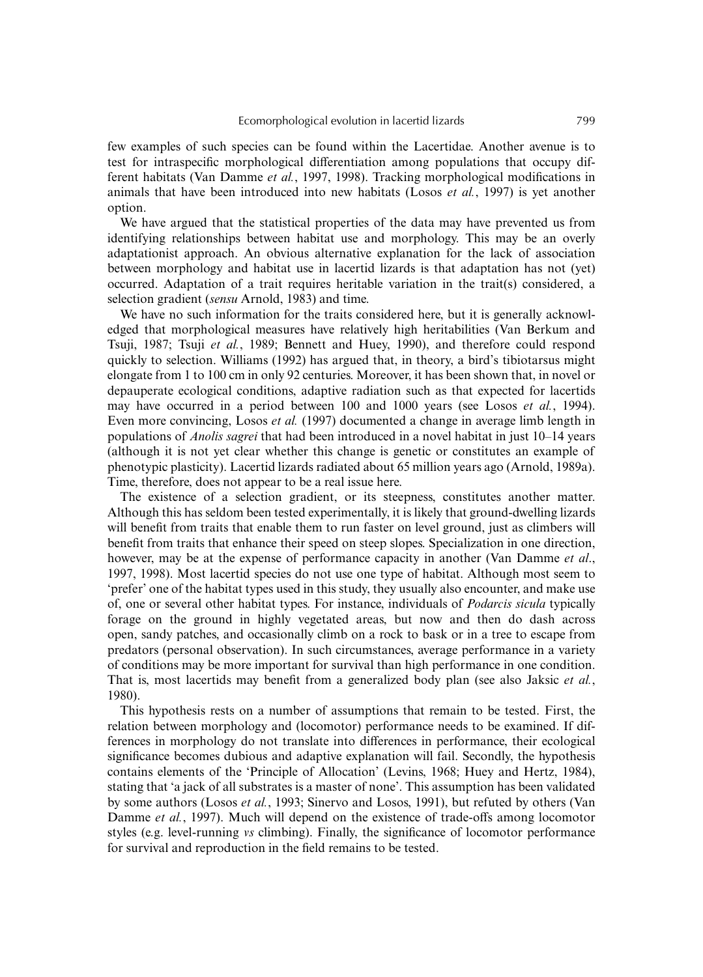few examples of such species can be found within the Lacertidae. Another avenue is to test for intraspecific morphological differentiation among populations that occupy different habitats (Van Damme *et al.*, 1997, 1998). Tracking morphological modifications in animals that have been introduced into new habitats (Losos *et al.*, 1997) is yet another option.

We have argued that the statistical properties of the data may have prevented us from identifying relationships between habitat use and morphology. This may be an overly adaptationist approach. An obvious alternative explanation for the lack of association between morphology and habitat use in lacertid lizards is that adaptation has not (yet) occurred. Adaptation of a trait requires heritable variation in the trait(s) considered, a selection gradient (*sensu* Arnold, 1983) and time.

We have no such information for the traits considered here, but it is generally acknowledged that morphological measures have relatively high heritabilities (Van Berkum and Tsuji, 1987; Tsuji *et al.*, 1989; Bennett and Huey, 1990), and therefore could respond quickly to selection. Williams (1992) has argued that, in theory, a bird's tibiotarsus might elongate from 1 to 100 cm in only 92 centuries. Moreover, it has been shown that, in novel or depauperate ecological conditions, adaptive radiation such as that expected for lacertids may have occurred in a period between 100 and 1000 years (see Losos *et al.*, 1994). Even more convincing, Losos *et al.* (1997) documented a change in average limb length in populations of *Anolis sagrei* that had been introduced in a novel habitat in just 10–14 years (although it is not yet clear whether this change is genetic or constitutes an example of phenotypic plasticity). Lacertid lizards radiated about 65 million years ago (Arnold, 1989a). Time, therefore, does not appear to be a real issue here.

The existence of a selection gradient, or its steepness, constitutes another matter. Although this has seldom been tested experimentally, it is likely that ground-dwelling lizards will benefit from traits that enable them to run faster on level ground, just as climbers will benefit from traits that enhance their speed on steep slopes. Specialization in one direction, however, may be at the expense of performance capacity in another (Van Damme *et al*., 1997, 1998). Most lacertid species do not use one type of habitat. Although most seem to 'prefer' one of the habitat types used in this study, they usually also encounter, and make use of, one or several other habitat types. For instance, individuals of *Podarcis sicula* typically forage on the ground in highly vegetated areas, but now and then do dash across open, sandy patches, and occasionally climb on a rock to bask or in a tree to escape from predators (personal observation). In such circumstances, average performance in a variety of conditions may be more important for survival than high performance in one condition. That is, most lacertids may benefit from a generalized body plan (see also Jaksic *et al.*, 1980).

This hypothesis rests on a number of assumptions that remain to be tested. First, the relation between morphology and (locomotor) performance needs to be examined. If differences in morphology do not translate into differences in performance, their ecological significance becomes dubious and adaptive explanation will fail. Secondly, the hypothesis contains elements of the 'Principle of Allocation' (Levins, 1968; Huey and Hertz, 1984), stating that 'a jack of all substrates is a master of none'. This assumption has been validated by some authors (Losos *et al.*, 1993; Sinervo and Losos, 1991), but refuted by others (Van Damme *et al.*, 1997). Much will depend on the existence of trade-offs among locomotor styles (e.g. level-running *vs* climbing). Finally, the significance of locomotor performance for survival and reproduction in the field remains to be tested.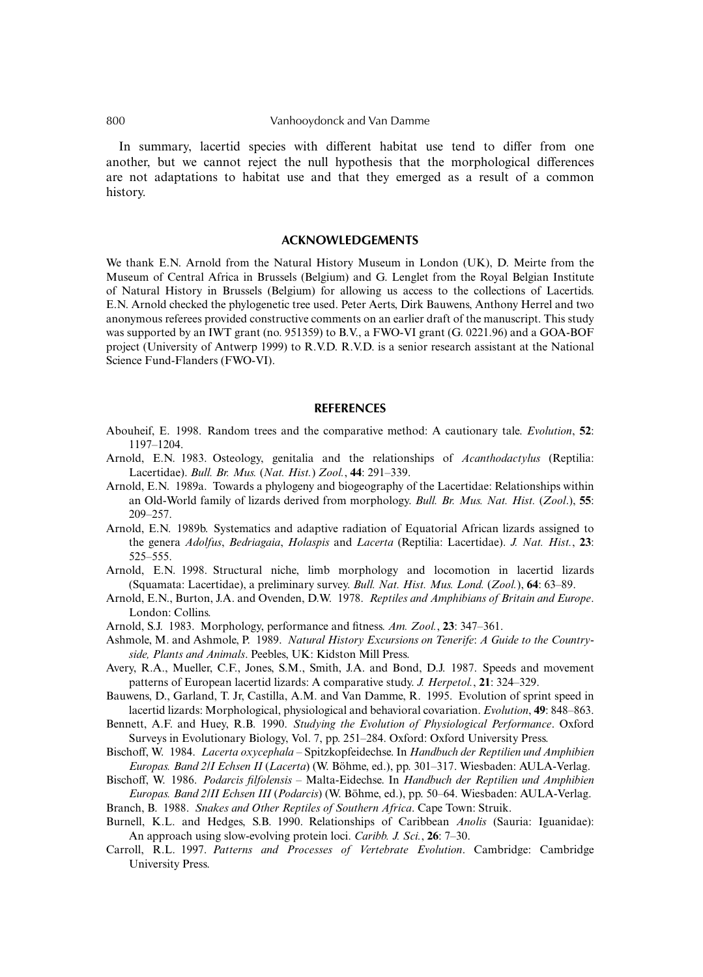In summary, lacertid species with different habitat use tend to differ from one another, but we cannot reject the null hypothesis that the morphological differences are not adaptations to habitat use and that they emerged as a result of a common history.

#### **ACKNOWLEDGEMENTS**

We thank E.N. Arnold from the Natural History Museum in London (UK), D. Meirte from the Museum of Central Africa in Brussels (Belgium) and G. Lenglet from the Royal Belgian Institute of Natural History in Brussels (Belgium) for allowing us access to the collections of Lacertids. E.N. Arnold checked the phylogenetic tree used. Peter Aerts, Dirk Bauwens, Anthony Herrel and two anonymous referees provided constructive comments on an earlier draft of the manuscript. This study was supported by an IWT grant (no. 951359) to B.V., a FWO-VI grant (G. 0221.96) and a GOA-BOF project (University of Antwerp 1999) to R.V.D. R.V.D. is a senior research assistant at the National Science Fund-Flanders (FWO-VI).

#### **REFERENCES**

- Abouheif, E. 1998. Random trees and the comparative method: A cautionary tale. *Evolution*, **52**: 1197–1204.
- Arnold, E.N. 1983. Osteology, genitalia and the relationships of *Acanthodactylus* (Reptilia: Lacertidae). *Bull. Br. Mus.* (*Nat. Hist.*) *Zool.*, **44**: 291–339.
- Arnold, E.N. 1989a. Towards a phylogeny and biogeography of the Lacertidae: Relationships within an Old-World family of lizards derived from morphology. *Bull. Br. Mus. Nat. Hist.* (*Zool*.), **55**: 209–257.
- Arnold, E.N. 1989b. Systematics and adaptive radiation of Equatorial African lizards assigned to the genera *Adolfus*, *Bedriagaia*, *Holaspis* and *Lacerta* (Reptilia: Lacertidae). *J. Nat. Hist.*, **23**: 525–555.
- Arnold, E.N. 1998. Structural niche, limb morphology and locomotion in lacertid lizards (Squamata: Lacertidae), a preliminary survey. *Bull. Nat. Hist. Mus. Lond.* (*Zool.*), **64**: 63–89.
- Arnold, E.N., Burton, J.A. and Ovenden, D.W. 1978. *Reptiles and Amphibians of Britain and Europe*. London: Collins.
- Arnold, S.J. 1983. Morphology, performance and fitness. *Am. Zool.*, **23**: 347–361.
- Ashmole, M. and Ashmole, P. 1989. *Natural History Excursions on Tenerife*: *A Guide to the Countryside, Plants and Animals*. Peebles, UK: Kidston Mill Press.
- Avery, R.A., Mueller, C.F., Jones, S.M., Smith, J.A. and Bond, D.J. 1987. Speeds and movement patterns of European lacertid lizards: A comparative study. *J. Herpetol.*, **21**: 324–329.
- Bauwens, D., Garland, T. Jr, Castilla, A.M. and Van Damme, R. 1995. Evolution of sprint speed in lacertid lizards: Morphological, physiological and behavioral covariation. *Evolution*, **49**: 848–863.
- Bennett, A.F. and Huey, R.B. 1990. *Studying the Evolution of Physiological Performance*. Oxford Surveys in Evolutionary Biology, Vol. 7, pp. 251–284. Oxford: Oxford University Press.
- Bischoff, W. 1984. *Lacerta oxycephala* Spitzkopfeidechse. In *Handbuch der Reptilien und Amphibien Europas. Band 2/I Echsen II* (*Lacerta*) (W. Böhme, ed.), pp. 301–317. Wiesbaden: AULA-Verlag.
- Bischoff, W. 1986. *Podarcis filfolensis* Malta-Eidechse. In *Handbuch der Reptilien und Amphibien Europas. Band 2/II Echsen III* (*Podarcis*) (W. Böhme, ed.), pp. 50–64. Wiesbaden: AULA-Verlag.
- Branch, B. 1988. *Snakes and Other Reptiles of Southern Africa*. Cape Town: Struik.
- Burnell, K.L. and Hedges, S.B. 1990. Relationships of Caribbean *Anolis* (Sauria: Iguanidae): An approach using slow-evolving protein loci. *Caribb. J. Sci.*, **26**: 7–30.
- Carroll, R.L. 1997. *Patterns and Processes of Vertebrate Evolution*. Cambridge: Cambridge University Press.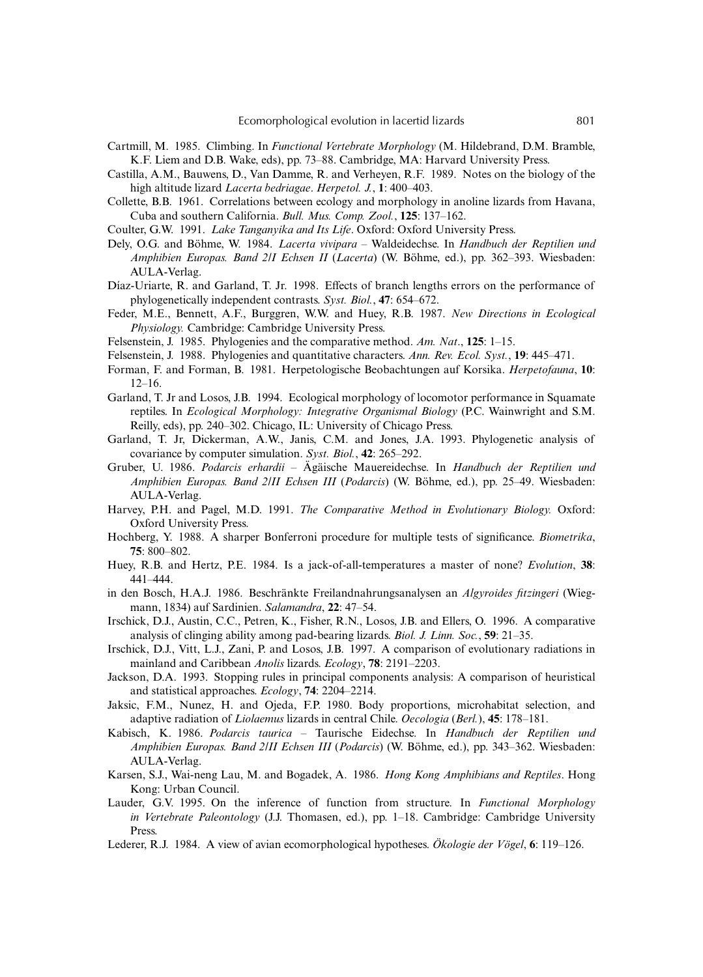- Cartmill, M. 1985. Climbing. In *Functional Vertebrate Morphology* (M. Hildebrand, D.M. Bramble, K.F. Liem and D.B. Wake, eds), pp. 73–88. Cambridge, MA: Harvard University Press.
- Castilla, A.M., Bauwens, D., Van Damme, R. and Verheyen, R.F. 1989. Notes on the biology of the high altitude lizard *Lacerta bedriagae*. *Herpetol. J.*, **1**: 400–403.
- Collette, B.B. 1961. Correlations between ecology and morphology in anoline lizards from Havana, Cuba and southern California. *Bull. Mus. Comp. Zool.*, **125**: 137–162.
- Coulter, G.W. 1991. *Lake Tanganyika and Its Life*. Oxford: Oxford University Press.
- Dely, O.G. and Böhme, W. 1984. *Lacerta vivipara* Waldeidechse. In *Handbuch der Reptilien und Amphibien Europas. Band 2/I Echsen II* (*Lacerta*) (W. Böhme, ed.), pp. 362–393. Wiesbaden: AULA-Verlag.
- Díaz-Uriarte, R. and Garland, T. Jr. 1998. Effects of branch lengths errors on the performance of phylogenetically independent contrasts. *Syst. Biol.*, **47**: 654–672.
- Feder, M.E., Bennett, A.F., Burggren, W.W. and Huey, R.B. 1987. *New Directions in Ecological Physiology.* Cambridge: Cambridge University Press.
- Felsenstein, J. 1985. Phylogenies and the comparative method. *Am. Nat*., **125**: 1–15.
- Felsenstein, J. 1988. Phylogenies and quantitative characters. *Ann. Rev. Ecol. Syst.*, **19**: 445–471.
- Forman, F. and Forman, B. 1981. Herpetologische Beobachtungen auf Korsika. *Herpetofauna*, **10**: 12–16.
- Garland, T. Jr and Losos, J.B. 1994. Ecological morphology of locomotor performance in Squamate reptiles. In *Ecological Morphology: Integrative Organismal Biology* (P.C. Wainwright and S.M. Reilly, eds), pp. 240–302. Chicago, IL: University of Chicago Press.
- Garland, T. Jr, Dickerman, A.W., Janis, C.M. and Jones, J.A. 1993. Phylogenetic analysis of covariance by computer simulation. *Syst. Biol.*, **42**: 265–292.
- Gruber, U. 1986. *Podarcis erhardii* Ägäische Mauereidechse. In *Handbuch der Reptilien und Amphibien Europas. Band 2/II Echsen III* (*Podarcis*) (W. Böhme, ed.), pp. 25–49. Wiesbaden: AULA-Verlag.
- Harvey, P.H. and Pagel, M.D. 1991. *The Comparative Method in Evolutionary Biology.* Oxford: Oxford University Press.
- Hochberg, Y. 1988. A sharper Bonferroni procedure for multiple tests of significance. *Biometrika*, **75**: 800–802.
- Huey, R.B. and Hertz, P.E. 1984. Is a jack-of-all-temperatures a master of none? *Evolution*, **38**: 441–444.
- in den Bosch, H.A.J. 1986. Beschränkte Freilandnahrungsanalysen an *Algyroides fitzingeri* (Wiegmann, 1834) auf Sardinien. *Salamandra*, **22**: 47–54.
- Irschick, D.J., Austin, C.C., Petren, K., Fisher, R.N., Losos, J.B. and Ellers, O. 1996. A comparative analysis of clinging ability among pad-bearing lizards. *Biol. J. Linn. Soc.*, **59**: 21–35.
- Irschick, D.J., Vitt, L.J., Zani, P. and Losos, J.B. 1997. A comparison of evolutionary radiations in mainland and Caribbean *Anolis* lizards. *Ecology*, **78**: 2191–2203.
- Jackson, D.A. 1993. Stopping rules in principal components analysis: A comparison of heuristical and statistical approaches. *Ecology*, **74**: 2204–2214.
- Jaksic, F.M., Nunez, H. and Ojeda, F.P. 1980. Body proportions, microhabitat selection, and adaptive radiation of *Liolaemus* lizards in central Chile. *Oecologia* (*Berl.*), **45**: 178–181.
- Kabisch, K. 1986. *Podarcis taurica* Taurische Eidechse. In *Handbuch der Reptilien und Amphibien Europas. Band 2/II Echsen III* (*Podarcis*) (W. Böhme, ed.), pp. 343–362. Wiesbaden: AULA-Verlag.
- Karsen, S.J., Wai-neng Lau, M. and Bogadek, A. 1986. *Hong Kong Amphibians and Reptiles*. Hong Kong: Urban Council.
- Lauder, G.V. 1995. On the inference of function from structure. In *Functional Morphology in Vertebrate Paleontology* (J.J. Thomasen, ed.), pp. 1–18. Cambridge: Cambridge University Press.
- Lederer, R.J. 1984. A view of avian ecomorphological hypotheses. *Ökologie der Vögel*, **6**: 119–126.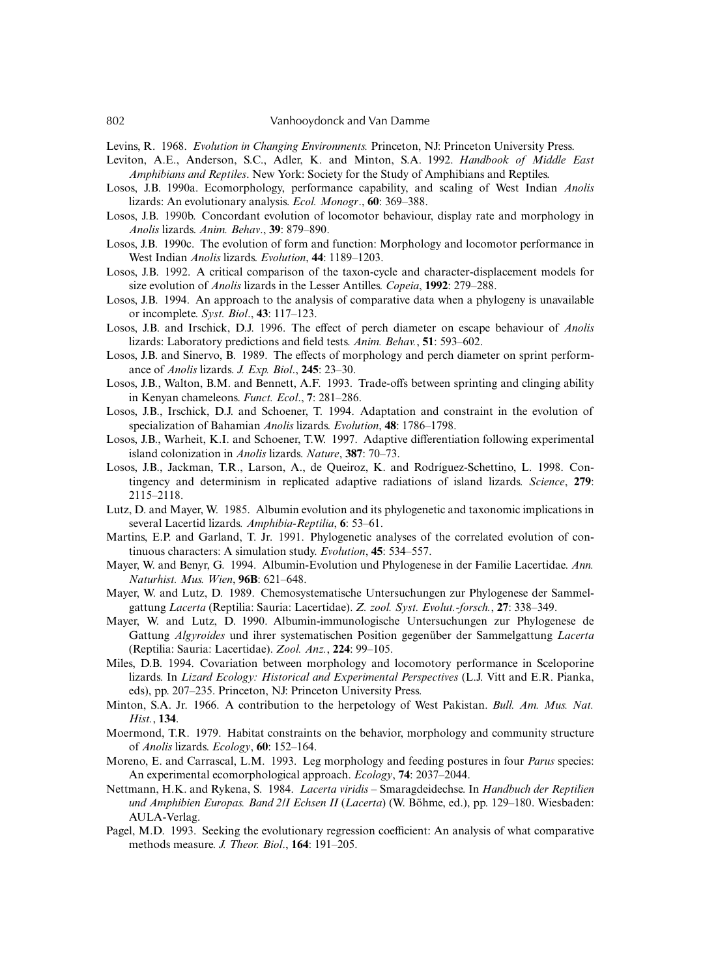- Levins, R. 1968. *Evolution in Changing Environments.* Princeton, NJ: Princeton University Press.
- Leviton, A.E., Anderson, S.C., Adler, K. and Minton, S.A. 1992. *Handbook of Middle East Amphibians and Reptiles*. New York: Society for the Study of Amphibians and Reptiles.
- Losos, J.B. 1990a. Ecomorphology, performance capability, and scaling of West Indian *Anolis* lizards: An evolutionary analysis. *Ecol. Monogr*., **60**: 369–388.
- Losos, J.B. 1990b. Concordant evolution of locomotor behaviour, display rate and morphology in *Anolis* lizards. *Anim. Behav*., **39**: 879–890.
- Losos, J.B. 1990c. The evolution of form and function: Morphology and locomotor performance in West Indian *Anolis* lizards. *Evolution*, **44**: 1189–1203.
- Losos, J.B. 1992. A critical comparison of the taxon-cycle and character-displacement models for size evolution of *Anolis* lizards in the Lesser Antilles. *Copeia*, **1992**: 279–288.
- Losos, J.B. 1994. An approach to the analysis of comparative data when a phylogeny is unavailable or incomplete. *Syst. Biol*., **43**: 117–123.
- Losos, J.B. and Irschick, D.J. 1996. The effect of perch diameter on escape behaviour of *Anolis* lizards: Laboratory predictions and field tests. *Anim. Behav.*, **51**: 593–602.
- Losos, J.B. and Sinervo, B. 1989. The effects of morphology and perch diameter on sprint performance of *Anolis* lizards. *J. Exp. Biol*., **245**: 23–30.
- Losos, J.B., Walton, B.M. and Bennett, A.F. 1993. Trade-offs between sprinting and clinging ability in Kenyan chameleons. *Funct. Ecol*., **7**: 281–286.
- Losos, J.B., Irschick, D.J. and Schoener, T. 1994. Adaptation and constraint in the evolution of specialization of Bahamian *Anolis* lizards. *Evolution*, **48**: 1786–1798.
- Losos, J.B., Warheit, K.I. and Schoener, T.W. 1997. Adaptive differentiation following experimental island colonization in *Anolis* lizards. *Nature*, **387**: 70–73.
- Losos, J.B., Jackman, T.R., Larson, A., de Queiroz, K. and Rodríguez-Schettino, L. 1998. Contingency and determinism in replicated adaptive radiations of island lizards. *Science*, **279**: 2115–2118.
- Lutz, D. and Mayer, W. 1985. Albumin evolution and its phylogenetic and taxonomic implications in several Lacertid lizards*. Amphibia-Reptilia*, **6**: 53–61.
- Martins, E.P. and Garland, T. Jr. 1991. Phylogenetic analyses of the correlated evolution of continuous characters: A simulation study. *Evolution*, **45**: 534–557.
- Mayer, W. and Benyr, G. 1994. Albumin-Evolution und Phylogenese in der Familie Lacertidae. *Ann. Naturhist. Mus. Wien*, **96B**: 621–648.
- Mayer, W. and Lutz, D. 1989. Chemosystematische Untersuchungen zur Phylogenese der Sammelgattung *Lacerta* (Reptilia: Sauria: Lacertidae). *Z. zool. Syst. Evolut.-forsch.*, **27**: 338–349.
- Mayer, W. and Lutz, D. 1990. Albumin-immunologische Untersuchungen zur Phylogenese de Gattung *Algyroides* und ihrer systematischen Position gegenüber der Sammelgattung *Lacerta* (Reptilia: Sauria: Lacertidae). *Zool. Anz.*, **224**: 99–105.
- Miles, D.B. 1994. Covariation between morphology and locomotory performance in Sceloporine lizards. In *Lizard Ecology: Historical and Experimental Perspectives* (L.J. Vitt and E.R. Pianka, eds), pp. 207–235. Princeton, NJ: Princeton University Press.
- Minton, S.A. Jr. 1966. A contribution to the herpetology of West Pakistan. *Bull. Am. Mus. Nat. Hist.*, **134**.
- Moermond, T.R. 1979. Habitat constraints on the behavior, morphology and community structure of *Anolis* lizards. *Ecology*, **60**: 152–164.
- Moreno, E. and Carrascal, L.M. 1993. Leg morphology and feeding postures in four *Parus* species: An experimental ecomorphological approach. *Ecology*, **74**: 2037–2044.
- Nettmann, H.K. and Rykena, S. 1984. *Lacerta viridis* Smaragdeidechse. In *Handbuch der Reptilien und Amphibien Europas. Band 2/I Echsen II* (*Lacerta*) (W. Böhme, ed.), pp. 129–180. Wiesbaden: AULA-Verlag.
- Pagel, M.D. 1993. Seeking the evolutionary regression coefficient: An analysis of what comparative methods measure. *J. Theor. Biol*., **164**: 191–205.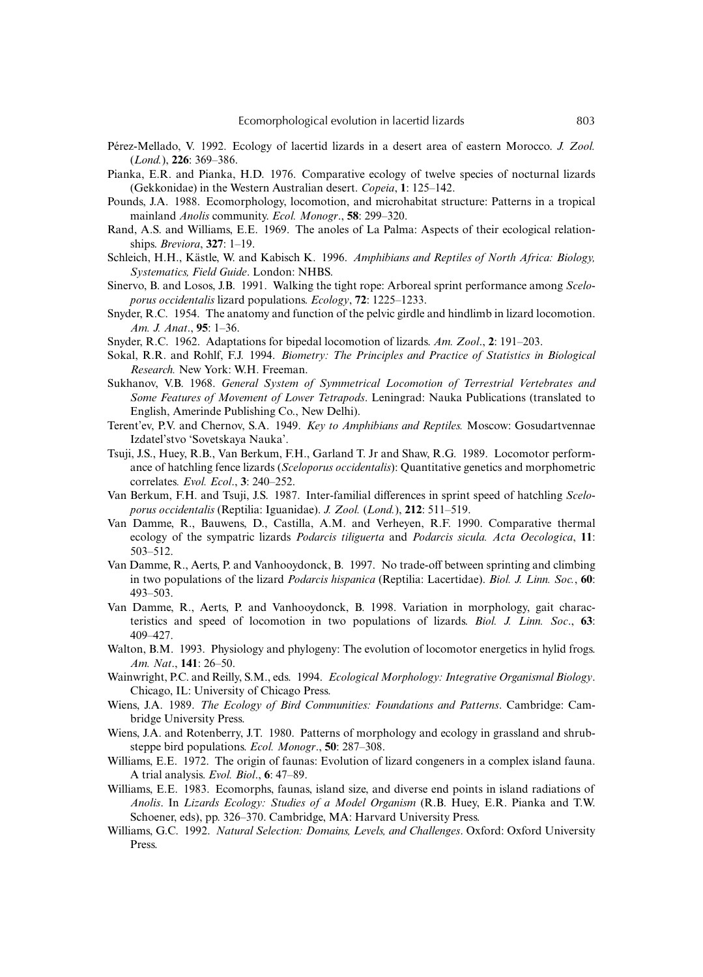- Pérez-Mellado, V. 1992. Ecology of lacertid lizards in a desert area of eastern Morocco. *J. Zool.* (*Lond.*), **226**: 369–386.
- Pianka, E.R. and Pianka, H.D. 1976. Comparative ecology of twelve species of nocturnal lizards (Gekkonidae) in the Western Australian desert. *Copeia*, **1**: 125–142.
- Pounds, J.A. 1988. Ecomorphology, locomotion, and microhabitat structure: Patterns in a tropical mainland *Anolis* community. *Ecol. Monogr*., **58**: 299–320.
- Rand, A.S. and Williams, E.E. 1969. The anoles of La Palma: Aspects of their ecological relationships. *Breviora*, **327**: 1–19.
- Schleich, H.H., Kästle, W. and Kabisch K. 1996. *Amphibians and Reptiles of North Africa: Biology, Systematics, Field Guide*. London: NHBS.
- Sinervo, B. and Losos, J.B. 1991. Walking the tight rope: Arboreal sprint performance among *Sceloporus occidentalis* lizard populations. *Ecology*, **72**: 1225–1233.
- Snyder, R.C. 1954. The anatomy and function of the pelvic girdle and hindlimb in lizard locomotion. *Am. J. Anat*., **95**: 1–36.
- Snyder, R.C. 1962. Adaptations for bipedal locomotion of lizards. *Am. Zool*., **2**: 191–203.
- Sokal, R.R. and Rohlf, F.J. 1994. *Biometry: The Principles and Practice of Statistics in Biological Research.* New York: W.H. Freeman.
- Sukhanov, V.B. 1968. *General System of Symmetrical Locomotion of Terrestrial Vertebrates and Some Features of Movement of Lower Tetrapods*. Leningrad: Nauka Publications (translated to English, Amerinde Publishing Co., New Delhi).
- Terent'ev, P.V. and Chernov, S.A. 1949. *Key to Amphibians and Reptiles.* Moscow: Gosudartvennae Izdatel'stvo 'Sovetskaya Nauka'.
- Tsuji, J.S., Huey, R.B., Van Berkum, F.H., Garland T. Jr and Shaw, R.G. 1989. Locomotor performance of hatchling fence lizards (*Sceloporus occidentalis*): Quantitative genetics and morphometric correlates*. Evol. Ecol*., **3**: 240–252.
- Van Berkum, F.H. and Tsuji, J.S. 1987. Inter-familial differences in sprint speed of hatchling *Sceloporus occidentalis* (Reptilia: Iguanidae). *J. Zool.* (*Lond.*), **212**: 511–519.
- Van Damme, R., Bauwens, D., Castilla, A.M. and Verheyen, R.F. 1990. Comparative thermal ecology of the sympatric lizards *Podarcis tiliguerta* and *Podarcis sicula. Acta Oecologica*, **11**: 503–512.
- Van Damme, R., Aerts, P. and Vanhooydonck, B. 1997. No trade-off between sprinting and climbing in two populations of the lizard *Podarcis hispanica* (Reptilia: Lacertidae). *Biol. J. Linn. Soc.*, **60**: 493–503.
- Van Damme, R., Aerts, P. and Vanhooydonck, B. 1998. Variation in morphology, gait characteristics and speed of locomotion in two populations of lizards. *Biol. J. Linn. Soc*., **63**: 409–427.
- Walton, B.M. 1993. Physiology and phylogeny: The evolution of locomotor energetics in hylid frogs. *Am. Nat*., **141**: 26–50.
- Wainwright, P.C. and Reilly, S.M., eds. 1994. *Ecological Morphology: Integrative Organismal Biology*. Chicago, IL: University of Chicago Press.
- Wiens, J.A. 1989. *The Ecology of Bird Communities: Foundations and Patterns*. Cambridge: Cambridge University Press.
- Wiens, J.A. and Rotenberry, J.T. 1980. Patterns of morphology and ecology in grassland and shrubsteppe bird populations. *Ecol. Monogr*., **50**: 287–308.
- Williams, E.E. 1972. The origin of faunas: Evolution of lizard congeners in a complex island fauna. A trial analysis. *Evol. Biol*., **6**: 47–89.
- Williams, E.E. 1983. Ecomorphs, faunas, island size, and diverse end points in island radiations of *Anolis*. In *Lizards Ecology: Studies of a Model Organism* (R.B. Huey, E.R. Pianka and T.W. Schoener, eds), pp. 326–370. Cambridge, MA: Harvard University Press.
- Williams, G.C. 1992. *Natural Selection: Domains, Levels, and Challenges*. Oxford: Oxford University Press.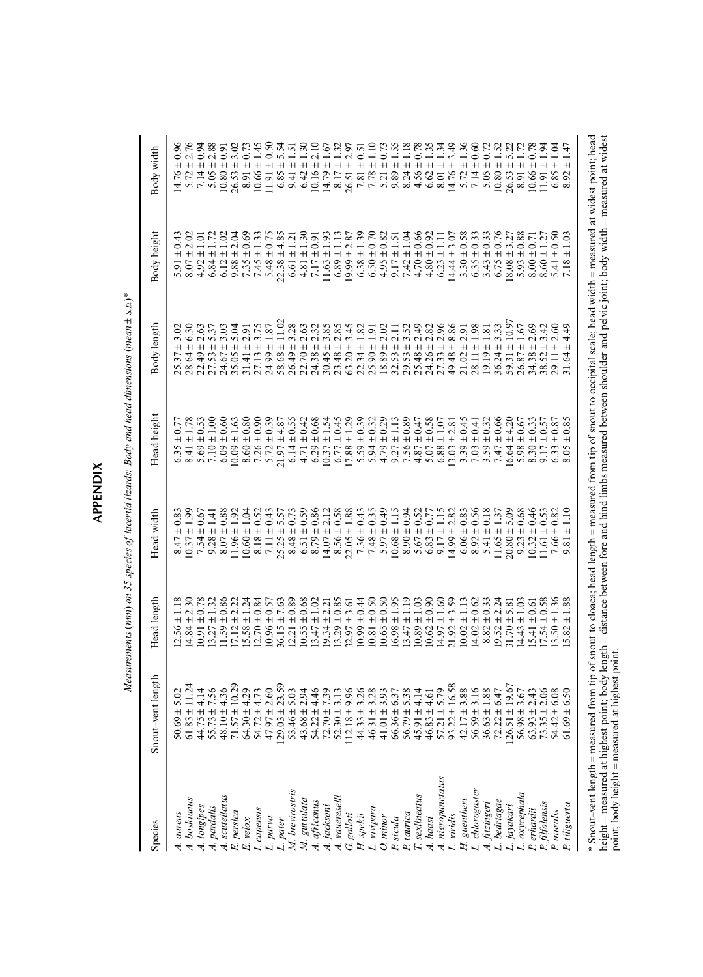| J. |
|----|
| r  |
| L  |
| г  |
| é  |

Measurements (mm) on 35 species of lacertid lizards: Body and head dimensions (mean ± s.p.)\* *Measurements* (*mm*) *on 35 species of lacertid lizards: Body and head dimensions* (*mean* ± *S.D.*)\*

| Species                            | length<br>Snout-vent                                                                                                                                                                                                                                                                                                                       | Head length                       | Head width                                                                                                                                                                                                                                                   | Head height                                                                                                                                          | Body length                                                                                     | Body height                                                                                                      | Body width                                                                                                                                                                                                                                    |
|------------------------------------|--------------------------------------------------------------------------------------------------------------------------------------------------------------------------------------------------------------------------------------------------------------------------------------------------------------------------------------------|-----------------------------------|--------------------------------------------------------------------------------------------------------------------------------------------------------------------------------------------------------------------------------------------------------------|------------------------------------------------------------------------------------------------------------------------------------------------------|-------------------------------------------------------------------------------------------------|------------------------------------------------------------------------------------------------------------------|-----------------------------------------------------------------------------------------------------------------------------------------------------------------------------------------------------------------------------------------------|
| A. aureus                          |                                                                                                                                                                                                                                                                                                                                            | 12.56                             | $\pm 0.8$                                                                                                                                                                                                                                                    |                                                                                                                                                      | 3.02<br>$+$                                                                                     |                                                                                                                  | $+$<br>14.76                                                                                                                                                                                                                                  |
| A. boskianus                       |                                                                                                                                                                                                                                                                                                                                            | $+1 +$<br>14.84                   | ±1.99<br>$\frac{8.47}{10.37}$                                                                                                                                                                                                                                | $+0.77$<br>$+ 1.78$<br>6.35                                                                                                                          | $+$                                                                                             | $5.91 \pm 1$<br>8.07 ± 2                                                                                         | $+1$                                                                                                                                                                                                                                          |
| A. longipes                        |                                                                                                                                                                                                                                                                                                                                            | $+1$<br>10.91                     | ± 0.67<br>7.54                                                                                                                                                                                                                                               | $+0.53$<br>5.69                                                                                                                                      | 2.63<br>$+1$<br>ភ្លឺ<br>អនុម្មត្ត<br>អនុម្មត្ត<br>អនុម្មត្ត                                     | $\pm$ 1.01<br>4.92                                                                                               | ± 0.94<br>7.14                                                                                                                                                                                                                                |
| A. pardalis                        |                                                                                                                                                                                                                                                                                                                                            | ±1.32<br>13.27                    | 9.28                                                                                                                                                                                                                                                         | $7.10 \pm 1.00$                                                                                                                                      | 5.37<br>$+1$                                                                                    | $6.84 \pm 1.72$                                                                                                  | $+2.88$<br>$+ 0.91$<br>5.05                                                                                                                                                                                                                   |
| A. scutellatus                     |                                                                                                                                                                                                                                                                                                                                            | $-0.86$<br>11.59                  | $\begin{array}{c} \pm 1.41 \\ \pm 0.88 \end{array}$<br>8.07                                                                                                                                                                                                  | $6.09 \pm 0.60$                                                                                                                                      | 3.03<br>$+1$                                                                                    |                                                                                                                  | 10.80                                                                                                                                                                                                                                         |
| E. persica                         |                                                                                                                                                                                                                                                                                                                                            | $\pm 2.22$<br>17.12               | $11.96 \pm 1.92$                                                                                                                                                                                                                                             | $\begin{array}{c} 10.09 \pm 1.63 \\ 8.60 \pm 0.80 \\ 7.26 \pm 0.90 \\ 5.72 \pm 0.39 \\ 5.72 \pm 0.39 \\ 21.97 \pm 4.87 \\ 6.14 \pm 0.55 \end{array}$ | 5.04<br>$+1$                                                                                    | $\begin{array}{c} 6.12 \pm 1.02 \\ 9.88 \pm 2.04 \\ 7.35 \pm 0.69 \\ 7.45 \pm 1.33 \\ 5.48 \pm 0.75 \end{array}$ | 3.02<br>$+$<br>26.53                                                                                                                                                                                                                          |
| $E.$ velox                         |                                                                                                                                                                                                                                                                                                                                            | $15.58 \pm 1.24$                  | $10.60 \pm 1.04$                                                                                                                                                                                                                                             |                                                                                                                                                      | 2.91<br>$+$<br>31.41                                                                            |                                                                                                                  | $\pm$ 0.73<br>8.91                                                                                                                                                                                                                            |
| I. capensis                        |                                                                                                                                                                                                                                                                                                                                            | $12.70 \pm 0.84$                  |                                                                                                                                                                                                                                                              |                                                                                                                                                      | $27.13 \pm 3.75$<br>$24.99 \pm 1.87$                                                            |                                                                                                                  | ±1.45<br>10.66                                                                                                                                                                                                                                |
| parva<br>ر<br>أ                    |                                                                                                                                                                                                                                                                                                                                            | $10.96 \pm 0.57$                  |                                                                                                                                                                                                                                                              |                                                                                                                                                      |                                                                                                 |                                                                                                                  |                                                                                                                                                                                                                                               |
| L. pater                           |                                                                                                                                                                                                                                                                                                                                            | $36.15 \pm 7.63$                  |                                                                                                                                                                                                                                                              |                                                                                                                                                      | 11.02<br>$+1$<br>58.68                                                                          | $22.38 \pm 4.85$<br>6.61 ± 1.21<br>4.81 ± 1.30                                                                   |                                                                                                                                                                                                                                               |
| M. brevirostris                    |                                                                                                                                                                                                                                                                                                                                            | $\pm\,0.89$<br>12.21              |                                                                                                                                                                                                                                                              |                                                                                                                                                      | 3.28<br>$+1$                                                                                    |                                                                                                                  |                                                                                                                                                                                                                                               |
| M. guttulata                       |                                                                                                                                                                                                                                                                                                                                            | $10.55 \pm 0.68$                  |                                                                                                                                                                                                                                                              | $\pm 0.42$<br>4.71                                                                                                                                   |                                                                                                 |                                                                                                                  |                                                                                                                                                                                                                                               |
| A. africanus                       |                                                                                                                                                                                                                                                                                                                                            | ±1.02                             |                                                                                                                                                                                                                                                              | 6.29                                                                                                                                                 |                                                                                                 |                                                                                                                  |                                                                                                                                                                                                                                               |
| A. jacksoni                        |                                                                                                                                                                                                                                                                                                                                            | ± 2.21<br>13.47                   | $\begin{array}{c} 8.18 \pm 0.52 \\ 7.11 \pm 0.43 \\ 7.525 \pm 5.57 \\ 8.48 \pm 0.73 \\ 8.61 \pm 0.38 \\ 8.71 \pm 0.39 \\ 8.63 \pm 0.38 \\ 8.71 \pm 0.38 \\ 8.72 \pm 0.38 \\ 8.72 \pm 0.38 \\ 7.36 \pm 0.43 \\ 7.36 \pm 0.43 \\ 7.36 \pm 0.43 \\ \end{array}$ | $7 + 0.68$<br>$7 + 1.54$<br>$7 + 1.54$<br>10.37                                                                                                      |                                                                                                 | $7.17 \pm 0.91$<br>11.63 $\pm$ 1.93                                                                              | $\begin{array}{c} 11.91 \pm 0.50 \\ 6.85 \pm 5.54 \\ 9.41 \pm 1.51 \\ 6.42 \pm 1.30 \\ 6.42 \pm 1.30 \\ 10.16 \pm 2.10 \\ 14.79 \pm 1.67 \\ 8.17 \pm 1.32 \\ 8.51 \pm 2.97 \\ 7.81 \pm 0.51 \\ 7.81 \pm 0.51 \\ 7.81 \pm 0.51 \\ \end{array}$ |
| A. vauereselli                     |                                                                                                                                                                                                                                                                                                                                            | $-5.0 \pm$<br>13.29               |                                                                                                                                                                                                                                                              | 6.77                                                                                                                                                 |                                                                                                 |                                                                                                                  |                                                                                                                                                                                                                                               |
| ${\cal G}$ galloti                 |                                                                                                                                                                                                                                                                                                                                            | ± 3.61<br>32.97                   |                                                                                                                                                                                                                                                              | $\pm$ 1.29                                                                                                                                           |                                                                                                 | $6.89 \pm 1.13$<br>19.99 $\pm 2.87$                                                                              | 26.51                                                                                                                                                                                                                                         |
| $H.$ spekii                        |                                                                                                                                                                                                                                                                                                                                            | $10.99 \pm 0.44$                  |                                                                                                                                                                                                                                                              | $5.59 \pm 0.39$                                                                                                                                      |                                                                                                 |                                                                                                                  |                                                                                                                                                                                                                                               |
| L. vivipara                        |                                                                                                                                                                                                                                                                                                                                            | ± 0.50<br>10.81                   | $+0.35$<br>7.48                                                                                                                                                                                                                                              |                                                                                                                                                      | $\overline{+}$                                                                                  |                                                                                                                  | 7.78                                                                                                                                                                                                                                          |
| O. minor                           |                                                                                                                                                                                                                                                                                                                                            | $10.65 \pm 0.50$                  |                                                                                                                                                                                                                                                              |                                                                                                                                                      |                                                                                                 |                                                                                                                  | 5.21                                                                                                                                                                                                                                          |
| P. sicula                          |                                                                                                                                                                                                                                                                                                                                            | $16.98 \pm 1.95$                  | $5.97 \pm 0.49$<br>10.68 $\pm$ 1.15                                                                                                                                                                                                                          | $\begin{array}{c} 5.94 \pm 0.32 \\ 4.79 \pm 0.29 \\ 9.27 \pm 1.13 \\ 7.56 \pm 0.89 \end{array}$                                                      | 2.11                                                                                            | $6.38 \pm 1.39$<br>$6.50 \pm 0.70$<br>$4.95 \pm 0.82$<br>$9.17 \pm 1.51$<br>$7.42 \pm 1.04$                      | $\begin{array}{r} +1.10 \\ +0.73 \\ +1.55 \\ +1.18 \end{array}$<br>9.89                                                                                                                                                                       |
| P. taurica                         |                                                                                                                                                                                                                                                                                                                                            | $\pm$ 1.19<br>13.47               | $8.90 \pm 0.94$                                                                                                                                                                                                                                              |                                                                                                                                                      | 3.52                                                                                            |                                                                                                                  | 8.24                                                                                                                                                                                                                                          |
| T. sexlineatus                     |                                                                                                                                                                                                                                                                                                                                            | $10.89 \pm 1.03$                  |                                                                                                                                                                                                                                                              | $4.87 \pm 0.47$                                                                                                                                      | 2.49                                                                                            | $4.70 \pm 0.66$                                                                                                  | $4.56 \pm 0.78$                                                                                                                                                                                                                               |
| A. haasi                           |                                                                                                                                                                                                                                                                                                                                            | $10.62 \pm 0.90$                  |                                                                                                                                                                                                                                                              |                                                                                                                                                      |                                                                                                 |                                                                                                                  |                                                                                                                                                                                                                                               |
| A. nigropunctatus                  |                                                                                                                                                                                                                                                                                                                                            | $7 ± 1.60$<br>$2 ± 3.59$<br>14.97 |                                                                                                                                                                                                                                                              |                                                                                                                                                      | $24.26 \pm 1.27.33 \pm 1.2$                                                                     | $4.80 \pm 0.92$<br>$6.23 \pm 1.11$<br>$14.44 \pm 3.07$                                                           | $\begin{array}{c} 6.62 \pm 1.35 \\ 8.01 \pm 1.34 \\ 14.76 \pm 3.49 \end{array}$                                                                                                                                                               |
| L. viridis                         |                                                                                                                                                                                                                                                                                                                                            | 21.92                             |                                                                                                                                                                                                                                                              |                                                                                                                                                      | $+$<br>49.48                                                                                    |                                                                                                                  |                                                                                                                                                                                                                                               |
| H. guentheri                       | $5.63 + 5.02$ $5.73 + 11.34$ $5.74 + 11.36$ $5.75 + 11.41$ $5.77 + 11.41$ $5.78 + 11.41$ $5.79 + 11.41$ $5.79 + 11.41$ $5.71 + 11.41$ $5.71 + 11.41$ $5.71 + 11.41$ $5.72 + 11.41$ $5.73 + 11.41$ $5.71 + 11.41$ $5.73 + 11.41$ $5.74 + 11.41$                                                                                             | $\pm 1.13$<br>10.02               | $\begin{array}{c} 5.67 \pm 0.52 \\ 6.83 \pm 0.77 \\ 9.17 \pm 1.15 \\ 14.99 \pm 2.82 \\ 6.06 \pm 0.83 \\ 6.06 \pm 0.83 \\ 8.92 \pm 0.56 \\ 8.92 \pm 0.18 \\ 5.41 \pm 0.18 \end{array}$                                                                        | $\begin{array}{c} 5.07 \pm 0.58 \\ 6.88 \pm 1.07 \\ 13.03 \pm 2.81 \\ 3.39 \pm 0.45 \end{array}$                                                     | $\begin{array}{c} 2.82 \\ 2.96 \\ 2.98 \\ 2.98 \\ 1.98 \\ 1.98 \\ \end{array}$<br>$21.02 \pm 1$ | $3.30 \pm 0.58$                                                                                                  | $5.72 \pm 1.36$                                                                                                                                                                                                                               |
| L. chlorogaster                    |                                                                                                                                                                                                                                                                                                                                            | ± 0.62<br>14.02                   |                                                                                                                                                                                                                                                              | ± 0.41<br>7.03                                                                                                                                       | $+1$<br>28.11                                                                                   | $6.35 \pm 0.33$                                                                                                  |                                                                                                                                                                                                                                               |
| A. fitzingeri                      |                                                                                                                                                                                                                                                                                                                                            | ± 0.33<br>8.82                    |                                                                                                                                                                                                                                                              | $\pm$ 0.32<br>3.59                                                                                                                                   | $19.19 \pm 1.81$                                                                                | $3.43 \pm 0.33$<br>6.75 ± 0.76                                                                                   | $7.14 \pm 0.60$<br>$5.05 \pm 0.72$<br>$10.80 \pm 1.52$<br>$26.53 \pm 5.22$<br>8.91 ± 1.72                                                                                                                                                     |
| L. bedriagae                       |                                                                                                                                                                                                                                                                                                                                            | $2.24$<br>5.81<br>$+$<br>19.52    | $\pm$ 1.37<br>11.65                                                                                                                                                                                                                                          | ± 0.66<br>7.47                                                                                                                                       | 3.33<br>$36.24 \pm 1$                                                                           |                                                                                                                  |                                                                                                                                                                                                                                               |
| L. jayakari                        |                                                                                                                                                                                                                                                                                                                                            | $31.70 \pm$                       | 5.09<br>$20.80 \pm$                                                                                                                                                                                                                                          | ± 4.20<br>16.64                                                                                                                                      | ±10.97<br>59.31                                                                                 |                                                                                                                  | 26.53                                                                                                                                                                                                                                         |
| L. oxycephala                      |                                                                                                                                                                                                                                                                                                                                            | $\pm\,1.03$<br>14.43              | $\pm\,0.68$<br>9.23                                                                                                                                                                                                                                          | ± 0.67<br>5.98                                                                                                                                       | $26.87 \pm 1.67$                                                                                | $18.08 \pm 3.27$<br>$5.93 \pm 0.88$                                                                              |                                                                                                                                                                                                                                               |
| P. erhardii                        | $67$<br>$96$                                                                                                                                                                                                                                                                                                                               | ± 0.61<br>15.41                   | 0.46<br>$+1$<br>10.32                                                                                                                                                                                                                                        | 0.33<br>$+$<br>8.30                                                                                                                                  | 2.69<br>$+$<br>34.38                                                                            | $\begin{array}{c} 5.93 \pm 0.88 \\ 8.00 \pm 0.71 \\ 8.60 \pm 1.27 \end{array}$                                   | ± 0.78<br>10.66                                                                                                                                                                                                                               |
| P. filfolensis                     | $73.35 \pm 2$                                                                                                                                                                                                                                                                                                                              | ± 0.58<br>17.54                   | ± 0.53<br>11.61                                                                                                                                                                                                                                              | $\frac{0.57}{0.87}$<br>$+1$<br>9.17                                                                                                                  | $+1$<br>38.52                                                                                   |                                                                                                                  | ±1.94<br>11.91                                                                                                                                                                                                                                |
|                                    | 6.30<br>$+1 +$<br>54.42                                                                                                                                                                                                                                                                                                                    | $+$<br>$\overline{50}$            | $+$<br>7.66<br>9.81                                                                                                                                                                                                                                          | $+1$                                                                                                                                                 | 2.60<br>$+1$<br>29.11<br>31.64                                                                  | $+$<br>$\overline{4}$<br>5.41                                                                                    | ±1.04<br>6.85                                                                                                                                                                                                                                 |
| P. muralis<br>P. tiliguerta        | 50<br>61.69                                                                                                                                                                                                                                                                                                                                | $+1$<br>82                        | $+$                                                                                                                                                                                                                                                          | $+$<br>$\frac{5}{2}$                                                                                                                                 | 4.49<br>$+$                                                                                     | $+$                                                                                                              | 1.47<br>$+$                                                                                                                                                                                                                                   |
|                                    | * Snout-vent length = measured from tip of snout to cloaca; head length = measured from tip of snout to occipital scale; head width = measured at widest point; head<br>height = measured at highest point; body length = distance between fore and hind limbs measured between shoulder and pelvic joint; body width = measured at widest |                                   |                                                                                                                                                                                                                                                              |                                                                                                                                                      |                                                                                                 |                                                                                                                  |                                                                                                                                                                                                                                               |
| point; body height = measured at h | ighest point                                                                                                                                                                                                                                                                                                                               |                                   |                                                                                                                                                                                                                                                              |                                                                                                                                                      |                                                                                                 |                                                                                                                  |                                                                                                                                                                                                                                               |